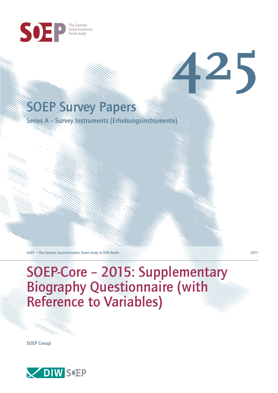

# SOEP Survey Papers

Series A – Survey Instruments (Erhebungsinstrumente)

SOEP — The German Socio-Economic Panel study at DIW Berlin 2017

# SOEP-Core – 2015: Supplementary Biography Questionnaire (with Reference to Variables)

SOEP Group



**425**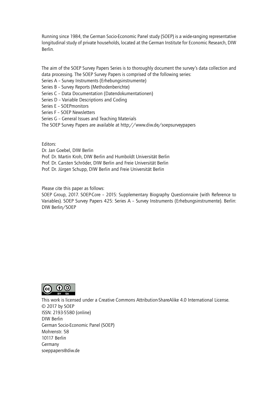Running since 1984, the German Socio-Economic Panel study (SOEP) is a wide-ranging representative longitudinal study of private households, located at the German Institute for Economic Research, DIW Berlin.

The aim of the SOEP Survey Papers Series is to thoroughly document the survey's data collection and data processing. The SOEP Survey Papers is comprised of the following series:

- Series A Survey Instruments (Erhebungsinstrumente)
- Series B Survey Reports (Methodenberichte)
- Series C Data Documentation (Datendokumentationen)
- Series D Variable Descriptions and Coding
- Series E SOEPmonitors
- Series F SOEP Newsletters
- Series G General Issues and Teaching Materials
- The SOEP Survey Papers are available at http://www.diw.de/soepsurveypapers

Editors:

Dr. Jan Goebel, DIW Berlin

- Prof. Dr. Martin Kroh, DIW Berlin and Humboldt Universität Berlin
- Prof. Dr. Carsten Schröder, DIW Berlin and Freie Universität Berlin
- Prof. Dr. Jürgen Schupp, DIW Berlin and Freie Universität Berlin

Please cite this paper as follows:

SOEP Group, 2017. SOEP-Core – 2015: Supplementary Biography Questionnaire (with Reference to Variables). SOEP Survey Papers 425: Series A – Survey Instruments (Erhebungsinstrumente). Berlin: DIW Berlin/SOEP



This work is licensed under a Creative Commons Attribution-ShareAlike 4.0 International License. © 2017 by SOEP ISSN: 2193-5580 (online) DIW Berlin German Socio-Economic Pan[el \(SOEP\)](http://creativecommons.org/licenses/by-sa/4.0/) Mohrenstr. 58 10117 Berlin Germany soeppapers@diw.de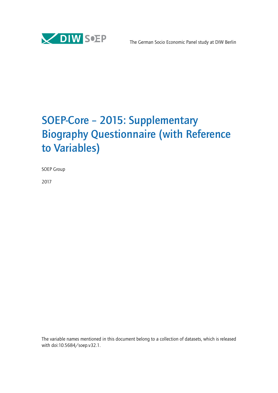

# SOEP-Core – 2015: Supplementary Biography Questionnaire (with Reference to Variables)

SOEP Group

2017

The variable names mentioned in this document belong to a collection of datasets, which is released with doi:10.5684/soep.v32.1.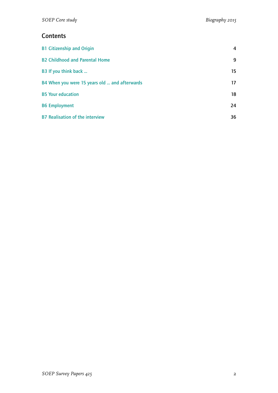# **Contents**

| <b>B1 Citizenship and Origin</b>              | 4  |
|-----------------------------------------------|----|
| <b>B2 Childhood and Parental Home</b>         | 9  |
| B3 If you think back                          | 15 |
| B4 When you were 15 years old  and afterwards | 17 |
| <b>B5 Your education</b>                      | 18 |
| <b>B6 Employment</b>                          | 24 |
| <b>B7 Realisation of the interview</b>        | 36 |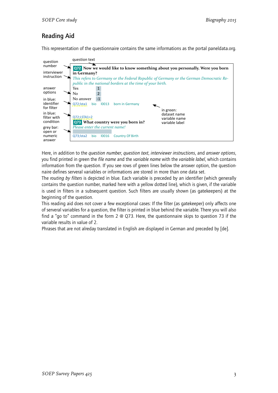# Reading Aid

This representation of the questionnaire contains the same informations as the portal paneldata.org.



Here, in addition to the *question number*, *question text*, *interviewer instructions*, and *answer options*, you find printed in green the *file name* and the *variable name* with the *variable label*, which contains information from the question. If you see rows of green lines below the answer option, the questionnaire defines serveral variables or informations are stored in more than one data set.

The *routing by filters* is depicted in blue. Each variable is preceded by an identifier (which generally contains the question number, marked here with a yellow dotted line), which is given, if the variable is used in filters in a subsequent question. Such filters are usually shown (as gatekeepers) at the beginning of the question.

This reading aid does not cover a few exceptional cases: If the filter (as gatekeeper) only affects one of serveral variables for a question, the filter is printed in blue behind the variable. There you will also find a "go to" command in the form 2 @ Q73. Here, the questionnaire skips to question 73 if the variable results in value of 2.

Phrases that are not alreday translated in English are displayed in German and preceded by [de].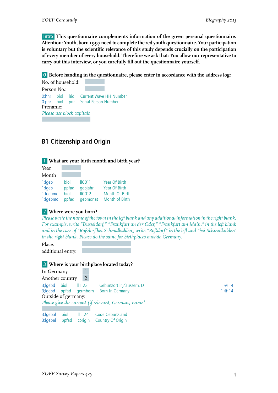Intro **This questionnaire complements information of the green personal questionnaire. Attention: Youth, born 1997 need to complete the red youth questionnaire. Your participation is voluntary but the scientific relevance of this study depends crucially on the participation of every member of every household. Therefore we ask that: You allow our representative to carry out this interview, or you carefully fill out the questionnaire yourself.**

0 **Before handing in the questionnaire, please enter in accordance with the address log:**

No. of household: Person No.: 0:hnr biol hid Current Wave HH Number 0:pnr biol pnr Serial Person Number Prename: *Please use block capitals*

# <span id="page-5-0"></span>B1 Citizenship and Origin

## 1 **What are your birth month and birth year?**

| Year     |       |               |                |
|----------|-------|---------------|----------------|
| Month    |       |               |                |
| 1:left   | biol  | $II$ 0011     | Year Of Birth  |
| 1:left   | ppfad | qebjahr       | Year Of Birth  |
| 1:lgebmo | biol  | <b>II0012</b> | Month Of Birth |
| 1:lgebmo | ppfad | qebmonat      | Month of Birth |

## 2 **Where were you born?**

*Please write the name of the town in the left blank and any additional information in the right blank. For example, write "Düsseldorf," "Frankfurt an der Oder," "Frankfurt am Main," in the left blank and in the case of "Roßdorf bei Schmalkalden" write "Roßdorf" in the left and "bei Schmalkalden" in the right blank. Please do the same for birthplaces outside Germany.*

Place: additional entry:

In Germany 1

## 3 **Where is your birthplace located today?**

| 3:lgebal       | biol | 11124   | Code Geburtsland         |
|----------------|------|---------|--------------------------|
| 3:lgebal ppfad |      | corigin | <b>Country Of Origin</b> |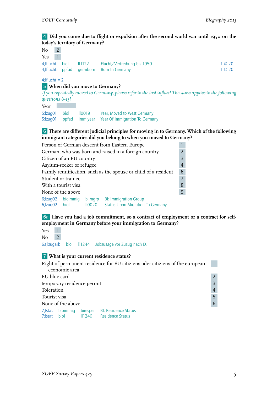## 4 **Did you come due to flight or expulsion after the second world war until 1950 on the today's territory of Germany?**

| No                 | $\overline{2}$ |       |          |                                                                                                        |        |
|--------------------|----------------|-------|----------|--------------------------------------------------------------------------------------------------------|--------|
| Yes                |                |       |          |                                                                                                        |        |
| 4; If lucht        |                | biol  | 11122    | Flucht/Vertreibung bis 1950                                                                            | 1 @ 20 |
| 4; If lucht        |                | ppfad | germborn | <b>Born In Germany</b>                                                                                 | 1 @ 20 |
| $4$ ; If lucht = 2 |                |       |          |                                                                                                        |        |
|                    |                |       |          | 5 When did you move to Germany?                                                                        |        |
|                    |                |       |          | If you repeatedly moved to Germany, please refer to the last influx! The same applies to the following |        |
| questions 6-13!    |                |       |          |                                                                                                        |        |

Year

5:lzug01 biol ll0019 Year, Moved to West Germany 5:lzug01 ppfad immiyear Year Of Immigration To Germany

6 **There are different judicial principles for moving in to Germany. Which of the following immigrant categories did you belong to when you moved to Germany?**

| Person of German descent from Eastern Europe                         |                          |                   |                                                                         |                |  |
|----------------------------------------------------------------------|--------------------------|-------------------|-------------------------------------------------------------------------|----------------|--|
|                                                                      |                          |                   | German, who was born and raised in a foreign country                    | $\mathfrak{D}$ |  |
|                                                                      | Citizen of an EU country |                   |                                                                         | 3              |  |
|                                                                      | Asylum-seeker or refugee |                   |                                                                         | 4              |  |
| Family reunification, such as the spouse or child of a resident<br>6 |                          |                   |                                                                         |                |  |
| Student or trainee                                                   |                          |                   |                                                                         |                |  |
| With a tourist visa<br>8                                             |                          |                   |                                                                         |                |  |
| None of the above<br>9                                               |                          |                   |                                                                         |                |  |
| 6; Izuq02 bioimmiq<br>$6$ ; $zuq02$                                  | biol                     | biimgrp<br>IIOO2O | <b>BI: Immigration Group</b><br><b>Status Upon Migration To Germany</b> |                |  |

6a **Have you had a job commitment, so a contract of employment or a contract for selfemployment in Germany before your immigration to Germany?**

Yes 1 No 2

6a;lzugarb biol ll1244 Jobzusage vor Zuzug nach D.

### 7 **What is your current residence status?**

|              |                            |       | Right of permanent residence for EU citiziens oder citiziens of the european |   |
|--------------|----------------------------|-------|------------------------------------------------------------------------------|---|
|              | economic area              |       |                                                                              |   |
| EU blue card |                            |       |                                                                              |   |
|              | temporary residence permit |       |                                                                              |   |
| Toleration   |                            |       |                                                                              |   |
| Tourist visa |                            |       |                                                                              |   |
|              | None of the above          |       |                                                                              | 6 |
|              | 7; Istat bioimmig          |       | biresper BI: Residence Status                                                |   |
| 7; Istat     | biol                       | 11240 | <b>Residence Status</b>                                                      |   |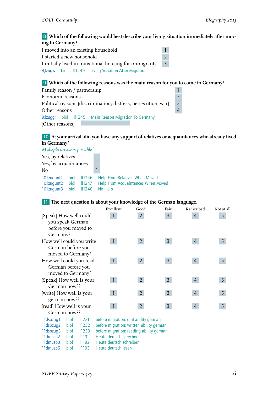## 8 **Which of the following would best describe your living situation immediately after moving to Germany?**

| I moved into an existing household                                         |  |  |                                                       | $\mathbf{1}$ |
|----------------------------------------------------------------------------|--|--|-------------------------------------------------------|--------------|
| $\overline{\phantom{0}}$<br>I started a new household                      |  |  |                                                       |              |
| $\overline{3}$<br>I initially lived in transitional housing for immigrants |  |  |                                                       |              |
|                                                                            |  |  | 8; Izugw biol II1249 Living Situation After Migration |              |

## 9 **Which of the following reasons was the main reason for you to come to Germany?**

| Family reason / partnership                                    |                |
|----------------------------------------------------------------|----------------|
| Economic reasons                                               | $\mathcal{P}$  |
| Political reasons (discrimination, distress, persecution, war) | -3             |
| Other reasons                                                  | $\overline{4}$ |
| 9; Izuggr biol II1245 Main Reason Migration To Germany         |                |
| [Other reasons]:                                               |                |

## 10 **At your arrival, did you have any support of relatives or acquaintances who already lived in Germany?**

*Multiple answers possible!* Yes, by relatives 1 Yes, by acquaintances 1 No 1 10:lzugunt1 biol ll1246 Help From Relatives When Moved 10:lzugunt2 biol ll1247 Help From Acquaintances When Moved 10:lzugunt3 biol ll1248 No Help

## 11 **The next question is about your knowledge of the German language.**

|                          | Excellent | Good           | Fair           | Rather bad     | Not at all |
|--------------------------|-----------|----------------|----------------|----------------|------------|
| [Speak] How well could   |           | $\overline{2}$ | 3              | $\overline{4}$ | 5          |
| you speak German         |           |                |                |                |            |
| before you moved to      |           |                |                |                |            |
| Germany?                 |           |                |                |                |            |
| How well could you write |           | $\overline{2}$ | $\overline{3}$ | 4              | 5          |
| German before you        |           |                |                |                |            |
| moved to Germany?        |           |                |                |                |            |
| How well could you read  |           | $\overline{2}$ | $\mathsf{3}$   | 4              | 5          |
| German before you        |           |                |                |                |            |
| moved to Germany?        |           |                |                |                |            |
| [Speak] How well is your |           | $\overline{2}$ | 3              | 4              | 5          |
| German now??             |           |                |                |                |            |
| [write] How well is your |           | $\overline{2}$ | 3              | 4              | 5          |
| german now??             |           |                |                |                |            |
| [read] How well is your  |           | $\overline{2}$ | 3              | 4              | 5          |
| German now??             |           |                |                |                |            |

| $11:$ spzug 1 biol $11231$ |            | before migration: oral ability german    |
|----------------------------|------------|------------------------------------------|
| $11:$ Ispzug $2$           | biol 11232 | before migration: written ability german |
| 11:Ispzuq3                 | biol 11233 | before migration: reading ability german |
| $11:lmusp2$ biol $11191$   |            | Heute deutsch sprechen                   |
| 11:lmusp3                  | biol 11192 | Heute deutsch schreiben                  |
| 11:lmusp6                  |            | biol 11193 Heute deutsch lesen           |
|                            |            |                                          |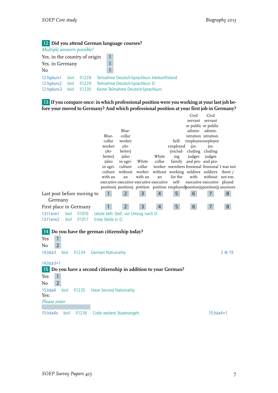# 12 **Did you attend German language courses?**

| Multiple answers possible!                      |                      |                          |                                                                                                                     |
|-------------------------------------------------|----------------------|--------------------------|---------------------------------------------------------------------------------------------------------------------|
| Yes, in the country of origin                   |                      |                          |                                                                                                                     |
| Yes, in Germany                                 |                      |                          |                                                                                                                     |
| No                                              |                      |                          |                                                                                                                     |
| 12: Ispkurs 1<br>12: Ispkurs 2<br>12: Ispkurs 3 | biol<br>biol<br>biol | 11228<br>11229<br>II1230 | Teilnahme Deutsch-Sprachkurs Herkunftsland<br>Teilnahme Deutsch-Sprachkurs D.<br>Keine Teilnahme Deutsch-Sprachkurs |

13 **If you compare once: in which professional position were you working at your last job before your moved to Germany? And which professional position at your first job in Germany?**

|                                                                 |                                                                             |                   |                |                |                                              | Civil                              | Civil                      |         |
|-----------------------------------------------------------------|-----------------------------------------------------------------------------|-------------------|----------------|----------------|----------------------------------------------|------------------------------------|----------------------------|---------|
|                                                                 |                                                                             |                   |                |                |                                              | servant                            | servant                    |         |
|                                                                 |                                                                             |                   |                |                |                                              |                                    | or public or public        |         |
|                                                                 |                                                                             | Blue-             |                |                |                                              | admin-                             | admin-                     |         |
|                                                                 | Blue-                                                                       | collar            |                |                |                                              |                                    | istration istration        |         |
|                                                                 | collar                                                                      | worker            |                |                | Self-                                        |                                    | employeeemployee           |         |
|                                                                 | worker                                                                      | (Ar-              |                |                | employed                                     | $(in-$                             | $(in-$                     |         |
|                                                                 | (Ar-<br>beiter)                                                             | beiter)           |                | White          | ing                                          | (includ-cluding                    | cluding                    |         |
|                                                                 | (also                                                                       | (also<br>in agri- | White          | collar         |                                              | judges<br>family and pro- and pro- | judges                     |         |
|                                                                 | in agri-                                                                    | culture           | collar         |                | worker members fessional fessional I was not |                                    |                            |         |
|                                                                 | culture                                                                     | without worker    |                |                | without working soldiers soldiers            |                                    |                            | there / |
|                                                                 | with an                                                                     | an                | with an        | an             | for the                                      | with                               | without not em-            |         |
|                                                                 | executive executive executive executive                                     |                   |                |                | self-                                        |                                    | executive executive ployed |         |
|                                                                 | position) position) potition potition employedposition)) position)) anymore |                   |                |                |                                              |                                    |                            |         |
| Last post before moving to                                      | $\mathbf{1}$                                                                | $\mathbf{2}$      | 3              | $\overline{4}$ | 5                                            | 6                                  | 7                          | 8       |
| Germany                                                         |                                                                             |                   |                |                |                                              |                                    |                            |         |
| First place in Germany                                          | $\mathbf{1}$                                                                | 2 <sup>1</sup>    | $\overline{3}$ | $\overline{4}$ | 5                                            | 6 <sup>1</sup>                     | $\overline{7}$             | 8       |
| 13:11 erw1<br>biol<br><b>II1016</b>                             | Letzte befr. Stell. vor Umzug nach D.                                       |                   |                |                |                                              |                                    |                            |         |
| 13:11 erw2<br><b>II1017</b><br>biol                             | Erste Stelle in D.                                                          |                   |                |                |                                              |                                    |                            |         |
|                                                                 |                                                                             |                   |                |                |                                              |                                    |                            |         |
| Do you have the german citizenship today?<br> 14                |                                                                             |                   |                |                |                                              |                                    |                            |         |
|                                                                 |                                                                             |                   |                |                |                                              |                                    |                            |         |
| $\mathbf{1}$<br>Yes                                             |                                                                             |                   |                |                |                                              |                                    |                            |         |
| $\overline{2}$<br>No                                            |                                                                             |                   |                |                |                                              |                                    |                            |         |
| $14$ ; Ista $3$<br>biol<br>II1234                               | <b>German Nationality</b>                                                   |                   |                |                |                                              |                                    |                            | 2 @ 19  |
|                                                                 |                                                                             |                   |                |                |                                              |                                    |                            |         |
| $14$ ; Ista $3=1$                                               |                                                                             |                   |                |                |                                              |                                    |                            |         |
| 15 Do you have a second citizenship in addition to your German? |                                                                             |                   |                |                |                                              |                                    |                            |         |
| $\mathbf{1}$<br>Yes                                             |                                                                             |                   |                |                |                                              |                                    |                            |         |
| $\overline{2}$<br>N <sub>o</sub>                                |                                                                             |                   |                |                |                                              |                                    |                            |         |
| 15; Ista4<br>biol<br>$\parallel$ 1235                           | <b>Have Second Nationality</b>                                              |                   |                |                |                                              |                                    |                            |         |
| Yes:                                                            |                                                                             |                   |                |                |                                              |                                    |                            |         |
| Please enter                                                    |                                                                             |                   |                |                |                                              |                                    |                            |         |
|                                                                 |                                                                             |                   |                |                |                                              |                                    |                            |         |
| $15:$ Ista $4x$<br>biol<br><b>II1236</b>                        | Code weitere Staatsangeh.                                                   |                   |                |                |                                              |                                    | $15$ ; lsta4=1             |         |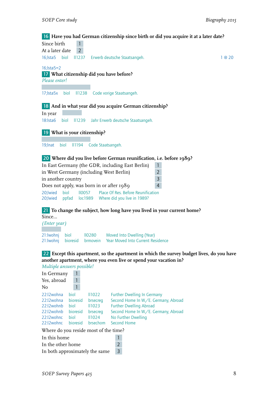## 16 **Have you had German citizenship since birth or did you acquire it at a later date?**

| Since birth       |  |                                                    |        |
|-------------------|--|----------------------------------------------------|--------|
| At a later date 2 |  |                                                    |        |
|                   |  | 16; Ista5 biol II1237 Erwerb deutsche Staatsangeh. | 1 @ 20 |

16;lsta5=2

## 17 **What citizenship did you have before?**

```
Please enter!
```
17;lsta5x biol ll1238 Code vorige Staatsangeh.

## 18 **And in what year did you acquire German citizenship?**

In year 18:lsta6 biol ll1239 Jahr Erwerb deutsche Staatsangeh.

19 **What is your citizenship?**

19;lnat biol ll1194 Code Staatsangeh.

## 20 **Where did you live before German reunification, i.e. before 1989?**

| In East Germany (the GDR, including East Berlin)                 |  |               |                             |  |
|------------------------------------------------------------------|--|---------------|-----------------------------|--|
| in West Germany (including West Berlin)<br>$\mathcal{P}$         |  |               |                             |  |
| in another country<br>$\overline{3}$                             |  |               |                             |  |
| Does not apply, was born in or after 1989                        |  |               |                             |  |
| Place Of Res. Before Reunification<br>20: wied<br>110057<br>biol |  |               |                             |  |
| 20; Iwied                                                        |  | ppfad loc1989 | Where did you live in 1989? |  |

## 21 **To change the subject, how long have you lived in your current home?** Since...

| (Enter year)   |        |                                                                |
|----------------|--------|----------------------------------------------------------------|
| 21:Iwohnj biol | 110280 | Moved Into Dwelling (Year)                                     |
|                |        | 21: Iwohni bioresid brmovein Year Moved Into Current Residence |

#### 22 **Except this apartment, so the apartment in which the survey budget lives, do you have another apartment, where you even live or spend your vacation in?** *Multiple answers possible!*

| <b>IVIWEEDED WIESWOLD DUSSEDED:</b>   |          |          |                                      |
|---------------------------------------|----------|----------|--------------------------------------|
| In Germany                            |          |          |                                      |
| Yes, abroad                           |          |          |                                      |
| No                                    |          |          |                                      |
| 22:I2wohna                            | biol     | II1022   | <b>Further Dwelling In Germany</b>   |
| 22:12 wohna                           | bioresid | brsecreg | Second Home In W./E. Germany, Abroad |
| 22:12 wohnb                           | biol     | II1023   | <b>Further Dwelling Abroad</b>       |
| 22:12 wohnb                           | bioresid | brsecreg | Second Home In W./E. Germany, Abroad |
| 22:12wohnc                            | biol     | II1024   | No Further Dwelling                  |
| 22:12wohnc                            | bioresid | brsechom | Second Home                          |
| Where do you reside most of the time? |          |          |                                      |
| In this home                          |          |          |                                      |
| In the other home                     |          |          | $\overline{2}$                       |
| In both approximately the same        |          |          | 3                                    |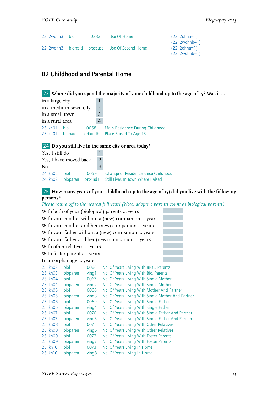| 22:12 wohn 3 biol | 110283 | Use Of Home                                       | $(22:12)$ ohna=1) |
|-------------------|--------|---------------------------------------------------|-------------------|
|                   |        |                                                   | $(22:12$ wohnb=1) |
|                   |        | 22:12 wohn 3 bioresid brsecuse Use Of Second Home | $(22:12)$ ohna=1) |
|                   |        |                                                   | $(22:12$ wohnb=1) |

# <span id="page-10-0"></span>B2 Childhood and Parental Home

23 **Where did you spend the majority of your childhood up to the age of 15? Was it ...**

| in a large city        |      |           |   |                                                                             |
|------------------------|------|-----------|---|-----------------------------------------------------------------------------|
| in a medium-sized city |      |           |   |                                                                             |
| in a small town        |      |           | 3 |                                                                             |
| in a rural area        |      |           | 4 |                                                                             |
| 23;lkh01<br>23;lkh01   | biol | $II$ 0058 |   | Main Residence During Childhood<br>bioparen ortkindh Place Raised To Age 15 |

## 24 **Do you still live in the same city or area today?**

| Yes, I still do        |  |  |                |                                                                                                      |
|------------------------|--|--|----------------|------------------------------------------------------------------------------------------------------|
| Yes, I have moved back |  |  | $\overline{2}$ |                                                                                                      |
| No.                    |  |  | 3              |                                                                                                      |
| 24;lkh02 biol 110059   |  |  |                | Change of Residence Since Childhood<br>24; IkhO2 bioparen ortkind 1 Still Lives In Town Where Raised |

## 25 **How many years of your childhood (up to the age of 15) did you live with the following persons?**

*Please round off to the nearest full year! (Note: adoptive parents count as biological parents)*

|            | With both of your (biological) parents  years     |                     |                                                    |  |  |  |  |  |
|------------|---------------------------------------------------|---------------------|----------------------------------------------------|--|--|--|--|--|
|            | With your mother without a (new) companion  years |                     |                                                    |  |  |  |  |  |
|            |                                                   |                     | With your mother and her (new) companion  years    |  |  |  |  |  |
|            |                                                   |                     | With your father without a (new) companion  years  |  |  |  |  |  |
|            |                                                   |                     | With your father and her (new) companion  years    |  |  |  |  |  |
|            | With other relatives  years                       |                     |                                                    |  |  |  |  |  |
|            | With foster parents  years                        |                     |                                                    |  |  |  |  |  |
|            | In an orphanage  years                            |                     |                                                    |  |  |  |  |  |
| 25:lkh03   | biol                                              | <b>II0066</b>       | No. Of Years Living With BIOL. Parents             |  |  |  |  |  |
| 25: Ikho3  | bioparen                                          | living 1            | No. Of Years Living With Bio. Parents              |  |  |  |  |  |
| 25:lkh04   | biol                                              | <b>II0067</b>       | No. Of Years Living With Single Mother             |  |  |  |  |  |
| 25:lkh04   | bioparen                                          | living <sub>2</sub> | No. Of Years Living With Single Mother             |  |  |  |  |  |
| 25: lkh 05 | biol                                              | <b>II0068</b>       | No. Of Years Living With Mother And Partner        |  |  |  |  |  |
| 25: Ikhos  | bioparen                                          | living <sub>3</sub> | No. Of Years Living With Single Mother And Partner |  |  |  |  |  |
| 25: kh06   | biol                                              | <b>II0069</b>       | No. Of Years Living With Single Father             |  |  |  |  |  |
| 25:lkh06   | bioparen                                          | living4             | No. Of Years Living With Single Father             |  |  |  |  |  |
| 25: lkh07  | biol                                              | <b>II0070</b>       | No. Of Years Living With Single Father And Partner |  |  |  |  |  |
| 25:lkh07   | bioparen                                          | living <sub>5</sub> | No. Of Years Living With Single Father And Partner |  |  |  |  |  |
| 25: kh08   | biol                                              | $II$ 0071           | No. Of Years Living With Other Relatives           |  |  |  |  |  |
| 25: Ikhos  | bioparen                                          | living <sub>6</sub> | No. Of Years Living With Other Relatives           |  |  |  |  |  |
| 25: Ikho9  | biol                                              | <b>II0072</b>       | No. Of Years Living With Foster Parents            |  |  |  |  |  |
| 25:lkh09   | bioparen                                          | living7             | No. Of Years Living With Foster Parents            |  |  |  |  |  |

25:lkh10 biol ll0073 No. Of Years Living In Home 25:lkh10 bioparen living8 No. Of Years Living In Home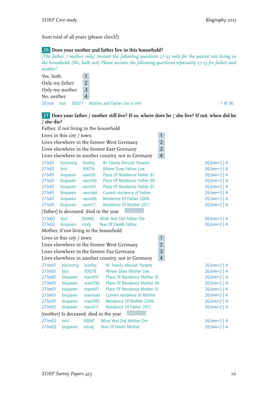Sum total of all years (please check!)

#### 26 **Does your mother and father live in this household?**

*[The father / mother only] Answer the following questions 27-35 only for the parent not living in the household. [No, both not] Please answer the following questions separately 27-35 for father and mother!*

| Yes, both                 |   |                                            |        |
|---------------------------|---|--------------------------------------------|--------|
| Only my father            |   |                                            |        |
| Only my mother            | 3 |                                            |        |
| No, neither               | 4 |                                            |        |
| <b>biol</b><br>$26$ ; lvm |   | <b>IIOO77</b> Mother and Father live in HH | l @ 36 |

#### 27 **Does your father / mother still live? If so, where does he / she live? If not, when did he / she die?** Father, if not living in the household

|                                           | Father, if not living in the household                      |               |                                                    |                |                  |  |
|-------------------------------------------|-------------------------------------------------------------|---------------|----------------------------------------------------|----------------|------------------|--|
|                                           | Lives in this city / town                                   |               |                                                    | $\mathbf{1}$   |                  |  |
|                                           |                                                             |               | Lives elsewhere in the former West Germany         | $\overline{2}$ |                  |  |
|                                           |                                                             |               | Lives elsewhere in the former East Germany         | $\overline{3}$ |                  |  |
|                                           |                                                             |               | Lives elsewhere in another country, not in Germany | $\overline{4}$ |                  |  |
| 27:lv01                                   | bioimmig                                                    | birelhp       | <b>BI: Family Abroad: Parents</b>                  |                | $26$ ; lvm=3   4 |  |
| 27:lv01                                   | biol                                                        | <b>II0078</b> | <b>Where Does Father Live</b>                      |                | $26$ ; lvm=3   4 |  |
| 27:lv01                                   | bioparen                                                    | vaort91       | Place Of Residence Father 91                       |                | $26$ ; lvm=3   4 |  |
| 27:lv01                                   | bioparen                                                    | vaort96       | Place Of Residence Father 96                       |                | $26$ ; lvm=3   4 |  |
| 27:lv01                                   | bioparen                                                    | vaort01       | Place Of Residence Father 01                       |                | $26$ ; lvm=3   4 |  |
| 27:lv01                                   | bioparen                                                    | vaortakt      | Current residence of Father                        |                | $26$ ; lvm=3   4 |  |
| 27:lv01                                   | bioparen                                                    | vaort06       | Residence Of Father 2006                           |                | $26$ ; lvm=3   4 |  |
| 27:lv01                                   | bioparen                                                    | vaort11       | <b>Residence Of Mother 2011</b>                    |                | $26$ ; lvm=3   4 |  |
|                                           | [father] Is deceased: died in the year                      |               |                                                    |                |                  |  |
| 27:lv02                                   | hiol                                                        | 110080        | <b>What Year Did Father Die</b>                    |                | $26$ ; lvm=3   4 |  |
| 27:lv02                                   | bioparen                                                    | vtodj         | Year Of Death Father                               |                | $26$ ; lvm=3   4 |  |
| Mother, if not living in the household    |                                                             |               |                                                    |                |                  |  |
| $\mathbf{1}$<br>Lives in this city / town |                                                             |               |                                                    |                |                  |  |
|                                           |                                                             |               | Lives elsewhere in the former West Germany         | $\overline{2}$ |                  |  |
|                                           | $\overline{3}$<br>Lives elsewhere in the former Eas Germany |               |                                                    |                |                  |  |
|                                           |                                                             |               | Lives elsewhere in another country, not in Germany | $\overline{4}$ |                  |  |
| 27:lm01                                   | bioimmig                                                    | birelhp       | <b>BI: Family Abroad: Parents</b>                  |                | $26$ ; lvm=2   4 |  |
| 27:lm01                                   | biol                                                        | <b>II0079</b> | <b>Where Does Mother Live</b>                      |                | $26$ ; lvm=2   4 |  |
| 27:lm01                                   | bioparen                                                    | maort91       | <b>Place Of Residence Mother 91</b>                |                | $26$ ; lvm=2   4 |  |
| 27:lm01                                   | bioparen                                                    | maort96       | Place Of Residence Mother 96                       |                | $26$ ; lvm=2   4 |  |
| 27:lm01                                   | bioparen                                                    | maort01       | Place Of Residence Mother 01                       |                | $26$ ; lvm=2   4 |  |
| 27:lm01                                   | bioparen                                                    | maortakt      | Current residence of Mother                        |                | $26$ ; lvm=2   4 |  |
| 27:lm01                                   | bioparen                                                    | maort06       | Residence Of Mother 2006                           |                | $26$ ; lvm=2   4 |  |
| 27:lm01                                   | bioparen                                                    | maort11       | Residence Of Father 2011                           |                | $26$ ; lvm=2   4 |  |
|                                           | [mother] Is deceased: died in the year                      |               |                                                    |                |                  |  |
| 27:lm02                                   | hiol                                                        | <b>II0081</b> | What Year Did Mother Die                           |                | $26$ ; lvm=2   4 |  |
| 27:Im02                                   | bioparen                                                    | mtodj         | <b>Year Of Death Mother</b>                        |                | $26$ ; lvm=2   4 |  |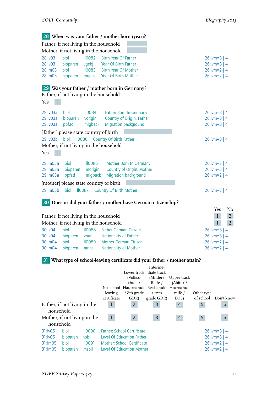|                                                                                                                                                                                    | Father, if not living in the household<br>Mother, if not living in the household |                                                  | 28 When was your father / mother born (year)?                                                              |                                                                                    |
|------------------------------------------------------------------------------------------------------------------------------------------------------------------------------------|----------------------------------------------------------------------------------|--------------------------------------------------|------------------------------------------------------------------------------------------------------------|------------------------------------------------------------------------------------|
| 28:lv03<br>28:lv03<br>28:lm03<br>28:lm03                                                                                                                                           | biol<br>bioparen<br>biol<br>bioparen                                             | <b>II0082</b><br>vgebj<br><b>II0083</b><br>mgebj | <b>Birth Year Of Father</b><br>Year Of Birth Father<br><b>Birth Year Of Mother</b><br>Year Of Birth Mother | $26$ ; lvm=3   4<br>$26$ ; lvm=3   4<br>$26$ ; lvm=2   4<br>$26$ ; lvm= $2 \mid 4$ |
| Yes                                                                                                                                                                                | Father, if not living in the household                                           |                                                  | 29 Was your father / mother born in Germany?                                                               |                                                                                    |
| 29:lv03a<br>29:lv03a<br>29:lv03a                                                                                                                                                   | biol<br>bioparen<br>ppfad                                                        | 110084<br>vorigin<br>migback                     | Father Born In Germany<br>Country of Origin, Father<br>Migration background                                | $26$ ; lvm=3   4<br>$26$ ; lvm=3   4<br>$26$ ; lvm=3   4                           |
| [father] please state country of birth<br>29:lv03b<br><b>II0086</b><br><b>Country Of Birth Father</b><br>biol<br>$26$ ; lvm=3   4<br>Mother, if not living in the household<br>Yes |                                                                                  |                                                  |                                                                                                            |                                                                                    |
| 29:lm03a<br>29:lm03a<br>29:lm03a                                                                                                                                                   | biol<br>bioparen<br>ppfad                                                        | <b>II0085</b><br>morigin<br>migback              | Mother Born In Germany<br>Country of Origin, Mother<br>Migration background                                | $26$ ; lvm=2   4<br>$26$ ; lvm=2   4<br>$26$ ; lvm=2   4                           |
| 29:lm03b                                                                                                                                                                           | [mother] please state country of birth<br><b>II0087</b><br>biol                  |                                                  | <b>Country Of Birth Mother</b>                                                                             | $26$ ; lvm=2   4                                                                   |

## 30 **Does or did your father / mother have German citizenship?**

|                                        |          |               |                              |  | Yes              | No |
|----------------------------------------|----------|---------------|------------------------------|--|------------------|----|
| Father, if not living in the household |          |               |                              |  |                  |    |
| Mother, if not living in the household |          |               |                              |  |                  |    |
| 30:lv04                                | biol     | <b>II0088</b> | <b>Father German Citizen</b> |  | $26$ ; lvm=3   4 |    |
| 30:lv04                                | bioparen | vnat          | Nationality of Father        |  | $26$ ; lvm=3   4 |    |
| 30:lm04                                | biol     | II0089        | <b>Mother German Citizen</b> |  | $26$ ; lvm=2   4 |    |
| 30:lm04                                | bioparen | mnat          | <b>Nationality of Mother</b> |  | $26$ ; lvm=2   4 |    |

# 31 **What type of school-leaving certificate did your father / mother attain?**

|                                                 |                                      |                                       | leaving<br>certificate | Lower track diate track<br>(Volkss-<br>chule /<br>No school Hauptschule Realschule Hochschul-<br>/ 8th grade<br>GDR)             | Interme-<br>(Mittlere)<br>Reife /<br>$/$ roth<br>grade GDR) | Upper track<br>(Abitur /<br>reife /<br>EOS) | Other type<br>of school | Don't know                                                                   |
|-------------------------------------------------|--------------------------------------|---------------------------------------|------------------------|----------------------------------------------------------------------------------------------------------------------------------|-------------------------------------------------------------|---------------------------------------------|-------------------------|------------------------------------------------------------------------------|
| Father, if not living in the<br>household       |                                      |                                       | $\mathbf{1}$           | $\overline{2}$                                                                                                                   | 3                                                           | 4                                           | 5                       | 6                                                                            |
| Mother, if not living in the<br>household       |                                      |                                       | $\overline{1}$         | $2^{\circ}$                                                                                                                      | 3                                                           | $\overline{4}$                              | 5                       | 6                                                                            |
| 31:iv05<br>31: <b>VO5</b><br>31:Im05<br>31:Im05 | biol<br>bioparen<br>biol<br>bioparen | 110090<br>vsbil<br>$II$ 0091<br>msbil |                        | <b>Father: School Certificate</b><br>Level Of Education Father<br>Mother: School Certificate<br><b>Level Of Education Mother</b> |                                                             |                                             |                         | $26$ ; lvm=3   4<br>$26$ ; lvm=3   4<br>$26$ ; lvm=2   4<br>$26$ ; lvm=2   4 |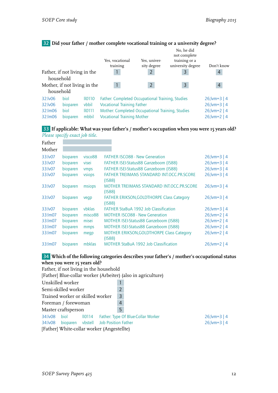# 32 **Did your father / mother complete vocational training or a university degree?**

|                                           |          |                    | Yes, vocational                                                      | Yes, univer-   | No, he did<br>not complete<br>training or a |                  |                  |  |
|-------------------------------------------|----------|--------------------|----------------------------------------------------------------------|----------------|---------------------------------------------|------------------|------------------|--|
|                                           |          |                    | training                                                             | sity degree    | university degree                           | Don't know       |                  |  |
| Father, if not living in the<br>household |          |                    |                                                                      | $\overline{2}$ | 3                                           | 4                |                  |  |
| Mother, if not living in the<br>household |          |                    | $\overline{2}$                                                       | $\overline{3}$ | $\overline{4}$                              |                  |                  |  |
| 32:lv06                                   | biol     | II <sub>0110</sub> | Father: Completed Occupational Training, Studies                     |                |                                             | $26$ ; lvm=3   4 |                  |  |
| 32:lv06                                   | bioparen | vbbil              | $26$ ; lvm=3   4<br><b>Vocational Training Father</b>                |                |                                             |                  |                  |  |
| 32:lm06                                   | biol     | 10111              | Mother: Completed Occupational Training, Studies<br>$26$ ; lvm=2   4 |                |                                             |                  |                  |  |
| 32:lm06                                   | bioparen | mbbil              | <b>Vocational Training Mother</b>                                    |                |                                             |                  | $26$ ; lvm=2   4 |  |

33 **If applicable: What was your father's / mother's occupation when you were 15 years old?** *Please specify exact job title.*

| Father  |          |                     |                                                            |                  |
|---------|----------|---------------------|------------------------------------------------------------|------------------|
| Mother  |          |                     |                                                            |                  |
| 33:lv07 | bioparen | visco <sub>88</sub> | <b>FATHER ISCO88 - New Generation</b>                      | $26$ ; lvm=3   4 |
| 33:lv07 | bioparen | visei               | FATHER ISEI-Status88 Ganzeboom (IS88)                      | $26$ ; lvm=3   4 |
| 33:lv07 | bioparen | vmps                | FATHER ISEI-Status88 Ganzeboom (IS88)                      | $26$ ; lvm=3   4 |
| 33:lv07 | bioparen | vsiops              | <b>FATHER TREIMANS STANDARD INT.OCC.PR.SCORE</b><br>(ISS8) | $26$ ; lvm=3   4 |
| 33:lv07 | bioparen | msiops              | MOTHER TREIMANS STANDARD INT.OCC.PR.SCORE<br>(ISS8)        | $26$ ; lvm=3   4 |
| 33:lv07 | bioparen | vegp                | FATHER ERIKSON, GOLDTHORPE Class Category<br>(ISS8)        | $26$ ; lvm=3   4 |
| 33:lv07 | bioparen | <b>vbklas</b>       | <b>FATHER StaBuA 1992 Job Classification</b>               | $26$ ; lvm=3   4 |
| 33:lm07 | bioparen | misco88             | <b>MOTHER ISCO88 - New Generation</b>                      | $26$ ; lvm=2   4 |
| 33:lm07 | bioparen | misei               | MOTHER ISEI-Status88 Ganzeboom (IS88)                      | $26$ ; lvm=2   4 |
| 33:lm07 | bioparen | mmps                | MOTHER ISEI-Status88 Ganzeboom (IS88)                      | $26$ ; lvm=2   4 |
| 33:lm07 | bioparen | megp                | MOTHER ERIKSON, GOLDTHORPE Class Category<br>(ISS8)        | $26$ ; lvm=2   4 |
| 33:lm07 | bioparen | mbklas              | <b>MOTHER StaBuA 1992 Job Classification</b>               | $26$ ; lvm=2   4 |

## 34 **Which of the following categories describes your father's / mother's occupational status when you were 15 years old?**

| Father, if not living in the household                       |                                                               |                  |  |  |  |  |  |
|--------------------------------------------------------------|---------------------------------------------------------------|------------------|--|--|--|--|--|
| [Father] Blue-collar worker (Arbeiter) (also in agriculture) |                                                               |                  |  |  |  |  |  |
| Unskilled worker                                             |                                                               |                  |  |  |  |  |  |
| Semi-skilled worker                                          | 2                                                             |                  |  |  |  |  |  |
| Trained worker or skilled worker                             | $\overline{3}$                                                |                  |  |  |  |  |  |
| Foreman / forewoman                                          | 4                                                             |                  |  |  |  |  |  |
| Master craftsperson                                          | 5                                                             |                  |  |  |  |  |  |
| 34: lv08<br>biol                                             | II0114 Father: Type Of Blue-Collar Worker<br>$26$ ; lvm=3   4 |                  |  |  |  |  |  |
| 34:Iv08 bioparen vbstell Job Position Father                 |                                                               | $26$ ; lvm=3   4 |  |  |  |  |  |
|                                                              | [Father] White-collar worker (Angestellte)                    |                  |  |  |  |  |  |
|                                                              |                                                               |                  |  |  |  |  |  |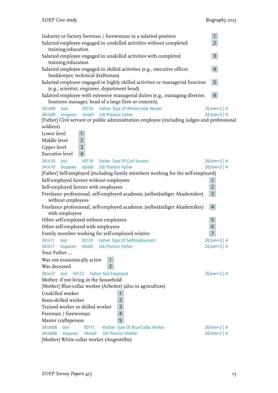| Industry or factory foreman / forewoman in a salaried position<br>Salaried employee engaged in unskilled activities without completed<br>training/education                                                                        | $\mathbf{1}$<br>$\overline{2}$       |
|------------------------------------------------------------------------------------------------------------------------------------------------------------------------------------------------------------------------------------|--------------------------------------|
| Salaried employee engaged in unskilled activities with completed<br>training/education                                                                                                                                             | $\mathsf{3}$                         |
| Salaried employee engaged in skilled activities (e.g., executive officer,<br>bookkeeper, technical draftsman)                                                                                                                      | $\overline{4}$                       |
| Salaried employee engaged in highly skilled activities or managerial function<br>(e.g., scientist, engineer, department head)                                                                                                      | 5 <sup>1</sup>                       |
| Salaried employee with extensive managerial duties (e.g., managing director,<br>business manager, head of a large firm or concern).                                                                                                | $6\phantom{1}$                       |
| biol<br>II0116 Father: Type Of White-Collar Worker<br>34:lv09<br>vbstell<br>Job Position Father<br>34:lv09<br>bioparen<br>[Father] Civil servant or public administration employee (including judges and professional<br>soldiers) | $26$ ; lvm=3   4<br>$26$ ; lvm=3   4 |
| Lower level<br>$\mathbf{1}$                                                                                                                                                                                                        |                                      |
| $\overline{2}$<br>Middle level<br>$\overline{3}$<br>Upper level<br>$\overline{4}$<br><b>Executive level</b>                                                                                                                        |                                      |
| 34:lv10<br>biol<br>II0118 Father: Type Of Civil Servant<br><b>Job Position Father</b><br>bioparen vbstell<br>34:lv10<br>[Father] Self-employed (including family members working for the self-employed)                            | $26$ ; lvm=3   4<br>$26$ ; lvm=3   4 |
| Self-employed farmer without employees                                                                                                                                                                                             | $\mathbf{1}$                         |
| Self-employed farmer with employees                                                                                                                                                                                                | $\overline{2}$                       |
| Freelance professional, self-employed academic (selbständiger Akademiker)                                                                                                                                                          | $\overline{3}$                       |
| without employees<br>Freelance professional, self-employed academic (selbständiger Akademiker)<br>with employees                                                                                                                   | $\overline{4}$                       |
| Other self-employed without employees                                                                                                                                                                                              | 5                                    |
| Other self-employed with employees                                                                                                                                                                                                 | $\sqrt{6}$                           |
| Family member working for self-employed relative                                                                                                                                                                                   |                                      |
| 34:lv11 biol II0120 Father: Type Of Self-Employment                                                                                                                                                                                | $26$ ; lvm=3   4                     |
| bioparen vbstell Job Position Father<br>34:lv11                                                                                                                                                                                    | $26$ ; lvm=3   4                     |
| Your Father                                                                                                                                                                                                                        |                                      |
| Was not economically active<br>Was deceased<br>$\overline{2}$                                                                                                                                                                      |                                      |
| 34:lv12<br>biol<br>II0122<br>Father: Not Employed                                                                                                                                                                                  | $26$ ; lvm=3   4                     |
| Mother, if not living in the household                                                                                                                                                                                             |                                      |
| [Mother] Blue-collar worker (Arbeiter) (also in agriculture)                                                                                                                                                                       |                                      |
| Unskilled worker<br>1                                                                                                                                                                                                              |                                      |
| Semi-skilled worker<br>$\overline{2}$                                                                                                                                                                                              |                                      |
| Trained worker or skilled worker<br>3                                                                                                                                                                                              |                                      |
| $\overline{4}$<br>Foreman / forewoman<br>5                                                                                                                                                                                         |                                      |
| Master craftsperson<br>34: Im 08<br>biol                                                                                                                                                                                           |                                      |
| Mother: Type Of Blue-Collar Worker<br>II <sub>0115</sub><br><b>Job Position Mother</b><br>34: Im 08<br>bioparen<br>mbstell                                                                                                         | $26$ ; lvm=2   4<br>$26$ ; lvm=2   4 |
| [Mother] White-collar worker (Angestellte)                                                                                                                                                                                         |                                      |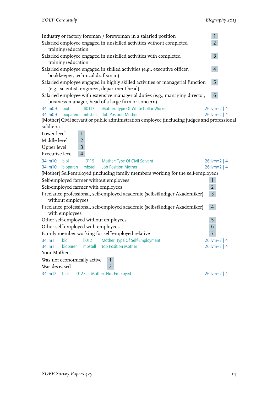| Industry or factory foreman / forewoman in a salaried position                                                                      | $\mathbf{1}$     |  |  |  |  |  |
|-------------------------------------------------------------------------------------------------------------------------------------|------------------|--|--|--|--|--|
| $\overline{2}$<br>Salaried employee engaged in unskilled activities without completed                                               |                  |  |  |  |  |  |
| training/education                                                                                                                  |                  |  |  |  |  |  |
| Salaried employee engaged in unskilled activities with completed<br>training/education                                              | 3 <sup>1</sup>   |  |  |  |  |  |
| Salaried employee engaged in skilled activities (e.g., executive officer,                                                           | $\overline{4}$   |  |  |  |  |  |
| bookkeeper, technical draftsman)                                                                                                    |                  |  |  |  |  |  |
| Salaried employee engaged in highly skilled activities or managerial function                                                       | 5                |  |  |  |  |  |
| (e.g., scientist, engineer, department head)                                                                                        |                  |  |  |  |  |  |
| Salaried employee with extensive managerial duties (e.g., managing director,                                                        | $6\overline{6}$  |  |  |  |  |  |
| business manager, head of a large firm or concern).                                                                                 |                  |  |  |  |  |  |
| biol<br>$II$ <sub>0117</sub><br>Mother: Type Of White-Collar Worker<br>34:lm09<br>bioparen<br>mbstell<br><b>Job Position Mother</b> | $26$ ; lvm=2   4 |  |  |  |  |  |
| 34: Im 09<br>[Mother] Civil servant or public administration employee (including judges and professional                            | $26$ ; lvm=2   4 |  |  |  |  |  |
| soldiers)                                                                                                                           |                  |  |  |  |  |  |
| Lower level<br>$\mathbf{1}$                                                                                                         |                  |  |  |  |  |  |
| Middle level<br>$\overline{2}$                                                                                                      |                  |  |  |  |  |  |
| Upper level<br>$\overline{3}$                                                                                                       |                  |  |  |  |  |  |
| <b>Executive level</b><br>$\overline{4}$                                                                                            |                  |  |  |  |  |  |
| 34:lm10 biol<br>II0119<br><b>Mother: Type Of Civil Servant</b>                                                                      | $26$ ; lvm=2   4 |  |  |  |  |  |
| mbstell Job Position Mother<br>34:lm10 bioparen                                                                                     | $26$ ; lvm=2   4 |  |  |  |  |  |
| [Mother] Self-employed (including family members working for the self-employed)                                                     |                  |  |  |  |  |  |
| Self-employed farmer without employees                                                                                              | $\mathbf{1}$     |  |  |  |  |  |
| Self-employed farmer with employees                                                                                                 | $\overline{2}$   |  |  |  |  |  |
| Freelance professional, self-employed academic (selbständiger Akademiker)                                                           | $\overline{3}$   |  |  |  |  |  |
| without employees                                                                                                                   |                  |  |  |  |  |  |
| Freelance professional, self-employed academic (selbständiger Akademiker)                                                           | $\overline{4}$   |  |  |  |  |  |
| with employees                                                                                                                      |                  |  |  |  |  |  |
| Other self-employed without employees                                                                                               | 5                |  |  |  |  |  |
| Other self-employed with employees                                                                                                  | $\sqrt{6}$       |  |  |  |  |  |
| Family member working for self-employed relative                                                                                    | $\overline{7}$   |  |  |  |  |  |
| 34:lm11 biol II0121 Mother: Type Of Self-Employment                                                                                 | $26$ ; lvm=2   4 |  |  |  |  |  |
| 34:lm11<br>mbstell<br><b>Job Position Mother</b><br>bioparen                                                                        | $26$ ; lvm=2   4 |  |  |  |  |  |
| Your Mother                                                                                                                         |                  |  |  |  |  |  |
| Was not economically active                                                                                                         |                  |  |  |  |  |  |
| $\overline{2}$<br>Was deceased                                                                                                      |                  |  |  |  |  |  |
| biol<br>34:lm12<br>II <sub>0123</sub><br>Mother: Not Employed                                                                       | $26$ ; lvm=2   4 |  |  |  |  |  |
|                                                                                                                                     |                  |  |  |  |  |  |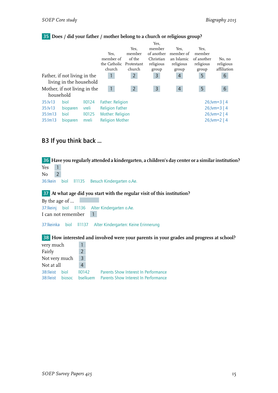## 35 **Does / did your father / mother belong to a church or religious group?**

|                                                         |                  |                             | Yes.<br>member of<br>the Catholic<br>church       | Yes.<br>member<br>of the<br>Protestant<br>church | Yes,<br>member<br>of another<br>Christian<br>religious<br>group | Yes.<br>member of<br>an Islamic<br>religious<br>group | Yes.<br>member<br>of another<br>religious<br>group | No, no<br>religious<br>affiliation   |
|---------------------------------------------------------|------------------|-----------------------------|---------------------------------------------------|--------------------------------------------------|-----------------------------------------------------------------|-------------------------------------------------------|----------------------------------------------------|--------------------------------------|
| Father, if not living in the<br>living in the household |                  | $\mathbf{1}$                | $\overline{2}$                                    | 3                                                | $\overline{4}$                                                  | 5                                                     | 6                                                  |                                      |
| Mother, if not living in the<br>household               |                  |                             | $\overline{2}$                                    | $\overline{3}$                                   | 4                                                               | 5                                                     | 6                                                  |                                      |
| 35:lv13<br>35:iv13                                      | biol<br>bioparen | II <sub>0124</sub><br>vreli | <b>Father: Religion</b><br><b>Religion Father</b> |                                                  |                                                                 |                                                       |                                                    | $26$ ; lvm=3   4<br>$26$ ; lvm=3   4 |
| 35:lm13<br>$35:$ m $13$                                 | biol<br>bioparen | II <sub>0125</sub><br>mreli | Mother: Religion<br><b>Religion Mother</b>        |                                                  |                                                                 |                                                       |                                                    | $26$ ; lvm=2   4<br>$26$ ; lvm=2   4 |

# <span id="page-16-0"></span>B3 If you think back ...

36 **Have you regularly attended a kindergarten, a children's day center or a similar institution?** Yes 1  $No$  2 36:lkein biol ll1135 Besuch Kindergarten o.Ae. 37 **At what age did you start with the regular visit of this institution?** By the age of ... 37:lkeinj biol ll1136 Alter Kindergarten o.Ae. I can not remember 1 37:lkeinka biol ll1137 Alter Kindergarten: Keine Erinnerung 38 **How interested and involved were your parents in your grades and progress at school?** very much 1 Fairly 2 Not very much 3 Not at all 4 38:lleist biol ll0142 Parents Show Interest In Performance 38:lleist biosoc bselkuem Parents Show Interest In Performance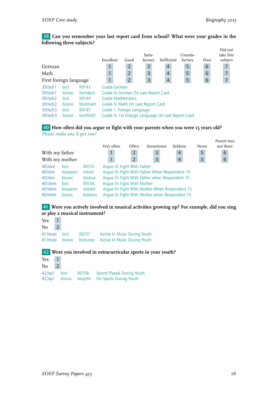## 39 **Can you remember your last report card from school? What were your grades in the following three subjects?**

|                         |        |                    | Excellent                                         | Good           | Satis-<br>factory                   | Sufficient     | Unsatis-<br>factory | Poor           | Did not<br>take this<br>subject |
|-------------------------|--------|--------------------|---------------------------------------------------|----------------|-------------------------------------|----------------|---------------------|----------------|---------------------------------|
| German                  |        |                    |                                                   | $\overline{2}$ | $\overline{3}$                      | 4              | 5                   | 6              | 7                               |
| Math                    |        |                    |                                                   | $\overline{2}$ | $\overline{3}$                      | $\overline{4}$ | 5                   | 6              | $\overline{7}$                  |
| First foreign language  |        |                    | $\overline{2}$                                    | 3              | $\overline{4}$                      | 5              | 6                   | $\overline{7}$ |                                 |
| 39: Isch 1              | biol   | II <sub>0143</sub> | Grade German                                      |                |                                     |                |                     |                |                                 |
| 39: Isch 1              | biosoc | bsntdeut           |                                                   |                | Grade In German On Last Report Card |                |                     |                |                                 |
| 39: Isch <sub>2</sub>   | biol   | 10144              | <b>Grade Mathematics</b>                          |                |                                     |                |                     |                |                                 |
| 39: Isch 2              | biosoc | bsntmath           |                                                   |                | Grade In Math On Last Report Card   |                |                     |                |                                 |
| $39$ : $\mathsf{lsch}3$ | biol   | II <sub>0145</sub> | Grade 1. Foreign Langauge                         |                |                                     |                |                     |                |                                 |
| $39:$ sch $3$           | biosoc | bsntfmd1           | Grade In 1st Foreign Language On Last Report Card |                |                                     |                |                     |                |                                 |

## 40 **How often did you argue or fight with your parents when you were 15 years old?** *Please make one X per row!*

|                |                    |  |                |       |                                                                       |                                                                                                                                                           | Parent was                                             |
|----------------|--------------------|--|----------------|-------|-----------------------------------------------------------------------|-----------------------------------------------------------------------------------------------------------------------------------------------------------|--------------------------------------------------------|
|                |                    |  |                |       |                                                                       |                                                                                                                                                           | not there                                              |
| With my father |                    |  | $\mathbf{2}$   | 3     | $\overline{4}$                                                        | 5                                                                                                                                                         | $6\phantom{1}6$                                        |
| With my mother |                    |  | $\overline{2}$ | 3     | $\overline{4}$                                                        | 5                                                                                                                                                         | $6\phantom{1}6$                                        |
| biol           | II <sub>0155</sub> |  |                |       |                                                                       |                                                                                                                                                           |                                                        |
| bioparen       | vstreit            |  |                |       |                                                                       |                                                                                                                                                           |                                                        |
| biosoc         | bsstrva            |  |                |       |                                                                       |                                                                                                                                                           |                                                        |
| biol           | II <sub>0156</sub> |  |                |       |                                                                       |                                                                                                                                                           |                                                        |
| bioparen       | mstreit            |  |                |       |                                                                       |                                                                                                                                                           |                                                        |
| biosoc         | bsstrmu            |  |                |       |                                                                       |                                                                                                                                                           |                                                        |
|                |                    |  | Very often     | Often | Sometimes<br>Arque Or Fight With Father<br>Arque Or Fight With Mother | Seldom<br>Arque Or Fight With Father When Respondent 15<br>Arque Or Fight With Father when Respondent 15<br>Arque Or Fight With Mother when Respondent 15 | Never<br>Arque Or Fight With Mother When Respondent 15 |

## 41 **Were you actively involved in musical activities growing up? For example, did you sing or play a musical instrument?**

| 41; Imusi biol II0157 Active In Music During Youth    |
|-------------------------------------------------------|
| 41; Imusi biosoc bsmussp Active In Music During Youth |
|                                                       |

## 42 **Were you involved in extracurricular sports in your youth?**

| Yes | -1 |                     |                           |                                   |
|-----|----|---------------------|---------------------------|-----------------------------------|
| No- |    |                     |                           |                                   |
|     |    | 42;Isp1 biol 110158 |                           | <b>Sports Played During Youth</b> |
|     |    |                     | 42; Isp 1 biosoc bssprttr | Do Sports During Youth            |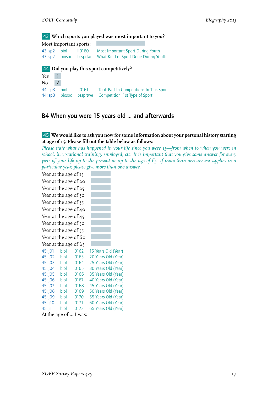## 43 **Which sports you played was most important to you?**

|              | Most important sports: |                                                              |
|--------------|------------------------|--------------------------------------------------------------|
| 43: sp2 biol | 110160                 | <b>Most Important Sport During Youth</b>                     |
|              |                        | 43:lsp2 biosoc bssprtar What Kind of Sport Done During Youth |

## 44 **Did you play this sport competitively?**

| Yes 1         |  |                                                             |
|---------------|--|-------------------------------------------------------------|
| $\text{No}$ 2 |  |                                                             |
|               |  | 44; sp3 biol II0161 Took Part In Competitions In This Sport |
|               |  | 44; sp3 biosoc bssprtwe Competition: 1st Type of Sport      |

# <span id="page-18-0"></span>B4 When you were 15 years old ... and afterwards

## 45 **We would like to ask you now for some information about your personal history starting at age of 15. Please fill out the table below as follows:**

*Please state what has happened in your life since you were 15—from when to when you were in school, in vocational training, employed, etc. It is important that you give some answer for every year of your life up to the present or up to the age of 65. If more than one answer applies in a particular year, please give more than one answer.*

| Year at the age of 15 |      |               |                     |
|-----------------------|------|---------------|---------------------|
| Year at the age of 20 |      |               |                     |
| Year at the age of 25 |      |               |                     |
| Year at the age of 30 |      |               |                     |
| Year at the age of 35 |      |               |                     |
| Year at the age of 40 |      |               |                     |
| Year at the age of 45 |      |               |                     |
| Year at the age of 50 |      |               |                     |
| Year at the age of 55 |      |               |                     |
| Year at the age of 60 |      |               |                     |
| Year at the age of 65 |      |               |                     |
| 45:lj01               | biol | <b>II0162</b> | 15 Years Old (Year) |
| 45:lj02               | biol | <b>II0163</b> | 20 Years Old (Year) |
| 45:lj03               | biol | <b>II0164</b> | 25 Years Old (Year) |
| 45:lj04               | biol | <b>II0165</b> | 30 Years Old (Year) |
| 45:lj05               | biol | <b>II0166</b> | 35 Years Old (Year) |
| 45:lj06               | biol | <b>II0167</b> | 40 Years Old (Year) |
| 45:lj07               | biol | <b>II0168</b> | 45 Years Old (Year) |
| 45:lj08               | biol | <b>II0169</b> | 50 Years Old (Year) |
| 45:lj09               | biol | <b>II0170</b> | 55 Years Old (Year) |
| $45:$ lj $10$         | biol | <b>II0171</b> | 60 Years Old (Year) |
| 45:lj11               | biol | <b>II0172</b> | 65 Years Old (Year) |
|                       |      |               |                     |

At the age of ... I was: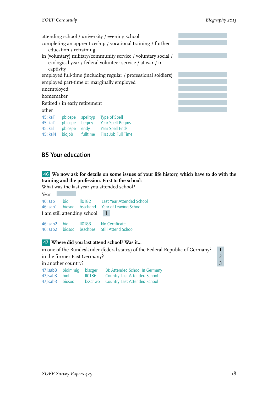attending school / university / evening school completing an apprenticeship / vocational training / further education / retraining in (voluntary) military/community service / voluntary social / ecological year / federal volunteer service / at war / in captivity employed full-time (including regular / professional soldiers) employed part-time or marginally employed unemployed homemaker Retired / in early retirement other 45:lkal1 pbiospe spelltyp Type of Spell<br>45:lkal1 pbiospe beginy Year Spell Begins 45:lkal1 pbiospe 45:lkal1 pbiospe endy Year Spell Ends

# <span id="page-19-0"></span>B5 Your education

46 **We now ask for details on some issues of your life history, which have to do with the training and the profession. First to the school:**

What was the last year you attended school?  $V_{\alpha\alpha}$ 

45:lkal4 biojob fulltime First Job Full Time

| -rear |                             | 46: Isab 1 biol IIO182 Last Year Attended School<br>46: Isab 1 biosoc bsschend Year of Leaving School |
|-------|-----------------------------|-------------------------------------------------------------------------------------------------------|
|       | I am still attending school | $\vert$ 1                                                                                             |
|       |                             | 46: Isab 2 biol IIO183 No Certificate<br>46: Isab 2 biosoc bsschbes Still Attend School               |

## 47 **Where did you last attend school? Was it...**

in one of the Bundesländer (federal states) of the Federal Republic of Germany? 1 in the former East Germany? in another country?<br>
<sup>47</sup> behavior bisecourse Blockhold School in Company 3

|                   | 47; Isab 3 bioimmig biscger |        | BI: Attended School In Germany       |
|-------------------|-----------------------------|--------|--------------------------------------|
| 47:Isab3 biol     |                             | 110186 | <b>Country Last Attended School</b>  |
| 47: Isab 3 biosoc |                             |        | bsschwo Country Last Attended School |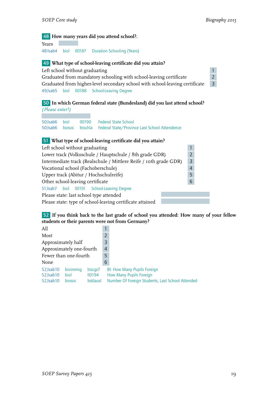## 48 **How many years did you attend school?.**

Years 48:lsab4 biol ll0187 Duration Schooling (Years)

### 49 **What type of school-leaving certificate did you attain?**

Left school without graduating  $\frac{1}{1}$ 

Graduated from mandatory schooling with school-leaving certificate 2 Graduated from higher-level secondary school with school-leaving certificate 3 49;lsab5 biol ll0188 School-Leaving Degree

## 50 **In which German federal state (Bundesland) did you last attend school?** *(Please enter!)*

50;lsab6 biol ll0190 Federal State School 50;lsab6 biosoc bsschla Federal State/Province Last School Attendence

## 51 **What type of school-leaving certificate did you attain?**

| Left school without graduating                                    |                |  |  |  |  |
|-------------------------------------------------------------------|----------------|--|--|--|--|
| Lower track (Volksschule / Hauptschule / 8th grade GDR)           | $\overline{2}$ |  |  |  |  |
| Intermediate track (Realschule / Mittlere Reife / roth grade GDR) | $\overline{3}$ |  |  |  |  |
| $\overline{4}$<br>Vocational school (Fachoberschule)              |                |  |  |  |  |
| Upper track (Abitur / Hochschulreife)                             |                |  |  |  |  |
| Other school-leaving certificate                                  |                |  |  |  |  |
| 51; Isab7 biol II0191 School-Leaving Degree                       |                |  |  |  |  |
| Please state: last school type attended                           |                |  |  |  |  |
| Please state: type of school-leaving certificate attained         |                |  |  |  |  |

## 52 **If you think back to the last grade of school you attended: How many of your fellow students or their parents were not from Germany?**

| All                                  |          |         |                                                  |                                    |
|--------------------------------------|----------|---------|--------------------------------------------------|------------------------------------|
| Most                                 |          |         | $\overline{2}$                                   |                                    |
| Approximately half                   |          |         |                                                  |                                    |
| Approximately one-fourth             |          |         |                                                  |                                    |
| Fewer than one-fourth                |          |         |                                                  |                                    |
| None                                 |          |         | 6                                                |                                    |
| 52; Isab 10                          | bioimmig | biscacf |                                                  | <b>BI: How Many Pupils Foreign</b> |
| <b>II0194</b><br>52; Isab 10<br>biol |          |         | How Many Pupils Foreign                          |                                    |
| 52; Isab 10<br>bsklausl<br>biosoc    |          |         | Number Of Foreign Students, Last School Attended |                                    |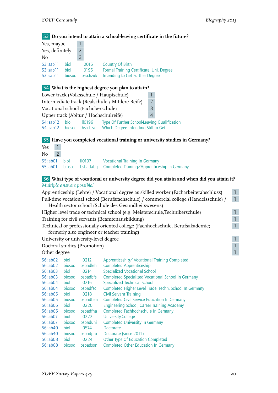## 53 **Do you intend to attain a school-leaving certificate in the future?**

| 2 |        |                                          |
|---|--------|------------------------------------------|
| 3 |        |                                          |
|   |        | Country Of Birth                         |
|   |        | Formal Training Certificate, Uni. Degree |
|   |        | Intending to Get Further Degree          |
|   | biosoc | $II$ 0016<br>110195<br>bsschzuk          |

## 54 **What is the highest degree you plan to attain?**

| Lower track (Volksschule / Hauptschule)          |      |                           |                                                                                     |  |  |
|--------------------------------------------------|------|---------------------------|-------------------------------------------------------------------------------------|--|--|
| Intermediate track (Realschule / Mittlere Reife) |      |                           |                                                                                     |  |  |
| Vocational school (Fachoberschule)<br>3          |      |                           |                                                                                     |  |  |
| Upper track (Abitur / Hochschulreife)<br>4       |      |                           |                                                                                     |  |  |
| 54; Isab 12<br>54: Isab 12                       | biol | 110196<br>biosoc bsschzar | Type Of Further School-Leaving Qualification<br>Which Degree Intending Still to Get |  |  |

# 55 **Have you completed vocational training or university studies in Germany?**

| Yes |  |                     |                                                                                                          |
|-----|--|---------------------|----------------------------------------------------------------------------------------------------------|
| No. |  |                     |                                                                                                          |
|     |  | 55:lab01 biol 10197 | Vocational Training In Germany<br>55; lab01 biosoc bsbadabq Completed Training/Apprenticeship in Germany |

## 56 **What type of vocational or university degree did you attain and when did you attain it?** *Multiple answers possible!*

| Apprenticeship (Lehre) / Vocational degree as skilled worker (Facharbeiterabschluss)  |  |  |
|---------------------------------------------------------------------------------------|--|--|
| Full-time vocational school (Berufsfachschule) / commercial college (Handelsschule) / |  |  |
| Health sector school (Schule des Gesundheitswesens)                                   |  |  |
| Higher level trade or technical school (e.g. Meisterschule, Technikerschule)          |  |  |
| Training for civil servants (Beamtenausbildung)                                       |  |  |
| Technical or professionally oriented college (Fachhochschule, Berufsakademie;         |  |  |
| formerly also engineer or teacher training)                                           |  |  |
| University or university-level degree                                                 |  |  |
| Doctoral studies (Promotion)                                                          |  |  |

## Other degree 1 and 1 and 1 and 1 and 1 and 1 and 1 and 1 and 1 and 1 and 1 and 1 and 1 and 1 and 1 and 1 and 1 and 1 and 1 and 1 and 1 and 1 and 1 and 1 and 1 and 1 and 1 and 1 and 1 and 1 and 1 and 1 and 1 and 1 and 1 and

| biol          | II <sub>0212</sub> | Apprenticeship/Vocational Training Completed              |
|---------------|--------------------|-----------------------------------------------------------|
| biosoc        | bsbadleh           | <b>Completed Apprenticeship</b>                           |
| biol          | II <sub>0214</sub> | <b>Specialized Vocational School</b>                      |
| <b>biosoc</b> | <b>b</b> sbadbfs   | <b>Completed Specialized Vocational School In Germany</b> |
| biol          | II <sub>0216</sub> | <b>Specialized Technical School</b>                       |
| biosoc        | <b>b</b> sbadfsc   | Completed Higher Level Trade, Techn. School In Germany    |
| biol          | II <sub>0218</sub> | Civil Servant Training                                    |
| <b>biosoc</b> | bsbadbea           | <b>Completed Civil Service Education In Germany</b>       |
| biol          | IIO220             | Engineering School, Career Training Academy               |
| <b>biosoc</b> | bsbadfha           | Completed Fachhochschule In Germany                       |
| biol          | IIO222             | University, College                                       |
| <b>biosoc</b> | bsbaduni           | <b>Completed University In Germany</b>                    |
| biol          | 110574             | Doctorate                                                 |
| biosoc        | bsbadpro           | Doctorate (since 2011)                                    |
| biol          | II <sub>0224</sub> | Other Type Of Education Completed                         |
| biosoc        | bsbadson           | <b>Completed Other Education In Germany</b>               |
|               |                    |                                                           |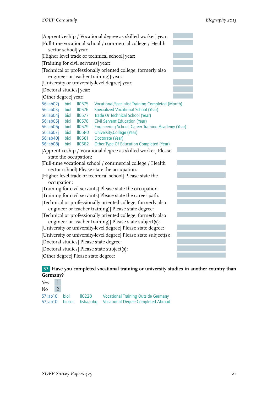

## 57 **Have you completed vocational training or university studies in another country than Germany?**

| $Yes \quad 1$ |  |                                                             |
|---------------|--|-------------------------------------------------------------|
| $No$ 2        |  |                                                             |
|               |  | 57; lab 10 biol II0228 Vocational Training Outside Germany  |
|               |  | 57;lab10 biosoc bsbaaabg Vocational Degree Completed Abroad |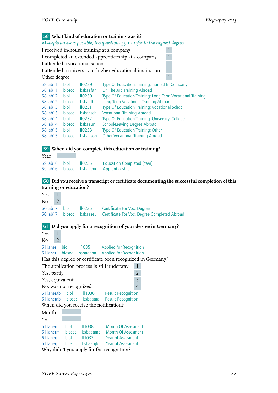## 58 **What kind of education or training was it?**

*Multiple answers possible, the questions 59-61 refer to the highest degree.*

|                                                     |                                           |                     | THE WARD WITH POSSIBILITY OF THE THE WAS THE TOTAL WAS WELLOW. |   |  |  |  |  |
|-----------------------------------------------------|-------------------------------------------|---------------------|----------------------------------------------------------------|---|--|--|--|--|
|                                                     | I received in-house training at a company |                     |                                                                |   |  |  |  |  |
| I completed an extended apprenticeship at a company |                                           |                     |                                                                |   |  |  |  |  |
| I attended a vocational school                      |                                           | 1                   |                                                                |   |  |  |  |  |
|                                                     |                                           |                     | I attended a university or higher educational institution      | 1 |  |  |  |  |
| Other degree                                        |                                           |                     |                                                                |   |  |  |  |  |
| 58:lab11                                            | biol                                      | IIO229              | Type Of Education, Training: Trained In Company                |   |  |  |  |  |
| 58:lab11                                            | biosoc                                    | bsbaafan            | On The Job Training Abroad                                     |   |  |  |  |  |
| 58:lab12                                            | biol                                      | IIO230              | Type Of Education, Training: Long Term Vocational Training     |   |  |  |  |  |
| 58:lab12                                            | biosoc                                    | <b>b</b> sbaafba    | Long Term Vocational Training Abroad                           |   |  |  |  |  |
| 58:lab13                                            | biol                                      | II <sub>0</sub> 231 | Type Of Education, Training: Vocational School                 |   |  |  |  |  |
| 58:lab13                                            | biosoc                                    | bsbaasch            | <b>Vocational Training Abroad</b>                              |   |  |  |  |  |
| 58:lab14                                            | biol                                      | II <sub>0232</sub>  | Type Of Education, Training: University, College               |   |  |  |  |  |
| 58:lab14                                            | biosoc                                    | bsbaauni            | <b>School-Leaving Degree Abroad</b>                            |   |  |  |  |  |
| 58:lab15                                            | biol                                      | II <sub>0</sub> 233 | Type Of Education, Training: Other                             |   |  |  |  |  |
| 58:lab15                                            | biosoc                                    | bsbaason            | <b>Other Vocational Training Abroad</b>                        |   |  |  |  |  |
|                                                     |                                           |                     |                                                                |   |  |  |  |  |

#### 59 **When did you complete this education or training?**

| Year |                      |                                         |
|------|----------------------|-----------------------------------------|
|      | 59:lab16 biol 110235 | <b>Education Completed (Year)</b>       |
|      |                      | 59:lab16 biosoc bsbaaend Apprenticeship |

### 60 **Did you receive a transcript or certificate documenting the successful completion of this training or education?**

Yes 1 No 2 60;lab17 biol ll0236 Certificate For Voc. Degree 60;lab17 biosoc bsbaazeu Certificate For Voc. Degree Completed Abroad 61 **Did you apply for a recognition of your degree in Germany?** Yes 1 No 2 61;laner biol ll1035 Applied for Recognition 61;laner biosoc bsbaaaba Applied for Recognition Has this degree or certificate been recognized in Germany? The application process is still underway 1 Yes, partly 2 Yes, equivalent 3 No, was not recognized 4 61:lanerab biol ll1036 Result Recognition 61:lanerab biosoc bsbaaara Result Recognition When did you receive the notification? Month Year 61:lanerm biol ll1038 Month Of Assesment 61:lanerm biosoc bsbaaamb Month Of Assesment 61:lanerj biol ll1037 Year of Assesment 61:lanerj biosoc bsbaaajb Year of Assesment Why didn't you apply for the recognition?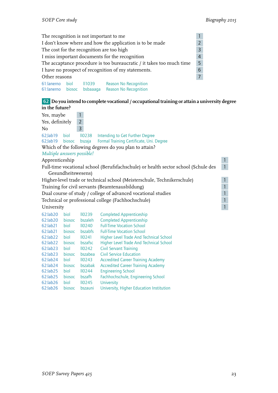|                                                                            | $\mathbf{1}$<br>The recognition is not important to me                     |               |                              |  |  |  |  |
|----------------------------------------------------------------------------|----------------------------------------------------------------------------|---------------|------------------------------|--|--|--|--|
|                                                                            | $\overline{2}$<br>I don't know where and how the application is to be made |               |                              |  |  |  |  |
|                                                                            | $\overline{3}$<br>The cost for the recognition are too high                |               |                              |  |  |  |  |
|                                                                            | $\overline{4}$<br>I miss important documents for the recognition           |               |                              |  |  |  |  |
| 5<br>The accaptance procedure is too bureaucratic / it takes too much time |                                                                            |               |                              |  |  |  |  |
|                                                                            | 6<br>I have no prospect of recognition of my statements.                   |               |                              |  |  |  |  |
|                                                                            | $\overline{7}$<br>Other reasons                                            |               |                              |  |  |  |  |
| 61: lanerno biol                                                           |                                                                            | <b>II1039</b> | <b>Reason No Recognition</b> |  |  |  |  |
|                                                                            | bsbaaaqa<br><b>Reason No Recognition</b><br>61: lanerno biosoc             |               |                              |  |  |  |  |

## 62 **Do you intend to complete vocational / occupational training or attain a university degree in the future?**

| Yes, maybe                 |                    | 1                  |                                                                                    |              |
|----------------------------|--------------------|--------------------|------------------------------------------------------------------------------------|--------------|
| Yes, definitely            |                    | $\overline{2}$     |                                                                                    |              |
| No                         |                    | $\overline{3}$     |                                                                                    |              |
| 62;lab19                   | biol               | IIO238             | Intending to Get Further Degree                                                    |              |
| 62;lab19                   | biosoc             | bszaja             | Formal Training Certificate, Uni. Degree                                           |              |
|                            |                    |                    | Which of the following degrees do you plan to attain?                              |              |
| Multiple answers possible! |                    |                    |                                                                                    |              |
| Apprenticeship             |                    |                    |                                                                                    | $\mathbf{1}$ |
|                            |                    |                    | Full-time vocational school (Berufsfachschule) or health sector school (Schule des | $\mathbf{1}$ |
|                            | Gesundheitswesens) |                    |                                                                                    |              |
|                            |                    |                    | Higher-level trade or technical school (Meisterschule, Technikerschule)            | $\mathbf{1}$ |
|                            |                    |                    | Training for civil servants (Beamtenausbildung)                                    | $\mathbf{1}$ |
|                            |                    |                    | Dual course of study / college of advanced vocational studies                      | $\mathbf{1}$ |
|                            |                    |                    | Technical or professional college (Fachhochschule)                                 | $\mathbf{1}$ |
| University                 |                    |                    |                                                                                    | $\mathbf{1}$ |
| 62:lab20                   | biol               | IIO239             | <b>Completed Apprenticeship</b>                                                    |              |
| 62:lab20                   | biosoc             | bszaleh            | <b>Completed Apprenticeship</b>                                                    |              |
| 62:lab21                   | biol               | IIO240             | <b>Full-Time Vocation School</b>                                                   |              |
| 62:lab21                   | biosoc             | bszabfs            | <b>Full-Time Vocation School</b>                                                   |              |
| 62:lab22                   | biol               | $II$ 0241          | Higher Level Trade And Technical School                                            |              |
| 62:lab22                   | biosoc             | bszafsc            | <b>Higher Level Trade And Technical School</b>                                     |              |
| 62:lab23                   | biol               | II0242             | <b>Civil Servant Training</b>                                                      |              |
| 62:lab23                   | biosoc             | bszabea            | <b>Civil Service Education</b>                                                     |              |
| $62$ : lab $24$            | biol               | II <sub>0243</sub> | <b>Accredited Career Training Academy</b>                                          |              |
| 62:lab24                   | biosoc             | bszabak            | <b>Accredited Career Training Academy</b>                                          |              |
| 62:lab25                   | biol               | II <sub>0244</sub> | <b>Engineering School</b>                                                          |              |
| 62:lab25                   | biosoc             | bszafh             | Fachhochschule, Engineering School                                                 |              |

62:lab26 biol ll0245 University

62:lab26 biosoc bszauni University, Higher Education Institution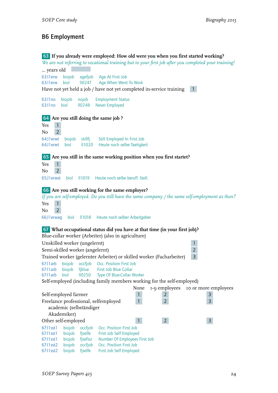# B6 Employment

|                                 |                |                          | 63 If you already were employed: How old were you when you first started working?                    |
|---------------------------------|----------------|--------------------------|------------------------------------------------------------------------------------------------------|
|                                 |                |                          | We are not referring to vocational training but to your first job after you completed your training! |
| years old                       |                |                          |                                                                                                      |
| 63:11erw                        | biojob         | agefjob                  | Age At First Job                                                                                     |
| 63:11 erw                       | biol           |                          | II0247 Age When Went To Work                                                                         |
|                                 |                |                          | Have not yet held a job / have not yet completed in-service training<br>$\vert$                      |
|                                 |                |                          |                                                                                                      |
| 63:11 no                        | biojob<br>biol | nojob                    | <b>Employment Status</b>                                                                             |
| 63:11 no                        |                | <b>II0248</b>            | <b>Never Employed</b>                                                                                |
|                                 |                |                          | 64 Are you still doing the same job ?                                                                |
| $\mathbf{1}$<br>Yes             |                |                          |                                                                                                      |
| $\overline{2}$<br>No            |                |                          |                                                                                                      |
|                                 |                |                          |                                                                                                      |
| 64;l1erwt<br>64; lerwt          | biojob<br>biol | stillfj<br><b>II1020</b> | Still Employed In First Job<br>Heute noch selbe Taetigkeit                                           |
|                                 |                |                          |                                                                                                      |
|                                 |                |                          | 65 Are you still in the same working position when you first startet?                                |
| Yes<br>$\mathbf{1}$             |                |                          |                                                                                                      |
| $\overline{2}$<br>No            |                |                          |                                                                                                      |
| 65;11 erwst                     | biol           | <b>II1019</b>            | Heute noch selbe berufl. Stell.                                                                      |
|                                 |                |                          |                                                                                                      |
|                                 |                |                          | 66 Are you still working for the same employer?                                                      |
|                                 |                |                          | If you are self-employed. Do you still have the same company / the same self-employment as then?     |
| $\mathbf{1}$<br>Yes             |                |                          |                                                                                                      |
| $\overline{2}$<br>No            |                |                          |                                                                                                      |
| 66;l1erwag                      | biol           | II1018                   | Heute noch selber Arbeitgeber                                                                        |
|                                 |                |                          |                                                                                                      |
|                                 |                |                          | 67 What occupational status did you have at that time (in your first job)?                           |
|                                 |                |                          | Blue-collar worker (Arbeiter) (also in agriculture)                                                  |
| Unskilled worker (ungelernt)    |                |                          | $\mathbf{1}$                                                                                         |
| Semi-skilled worker (angelernt) |                |                          | $\overline{2}$                                                                                       |
|                                 |                |                          | $\overline{3}$<br>Trained worker (gelernter Arbeiter) or skilled worker (Facharbeiter)               |
|                                 |                |                          | 67:11 arb biojob occfjob Occ. Position First Job                                                     |
| 67:11 arb                       | biojob         | fjblue                   | First Job Blue Collar                                                                                |
| 67:11 arb                       | biol           | <b>II0250</b>            | Type Of Blue-Collar Worker                                                                           |
|                                 |                |                          | Self-employed (including family members working for the self-employed)                               |
|                                 |                |                          | None<br>1-9 employees<br>to or more employees                                                        |
| Self-employed farmer            |                |                          | 1<br>$\overline{2}$<br>3                                                                             |
|                                 |                |                          | Freelance professional, selfemployed<br>$\overline{2}$<br>$\overline{3}$<br>1                        |
|                                 |                | academic (selbständiger  |                                                                                                      |
|                                 | Akademiker)    |                          |                                                                                                      |
| Other self-employed             |                |                          | $\overline{2}$<br>$\overline{3}$<br>$\mathbf{1}$                                                     |
| 67:11 sst 1                     | biojob         | occfjob                  | Occ. Position First Job                                                                              |
| 67:11 sst 1                     | biojob         | fjselfe                  | First Job Self Employed                                                                              |
| 67:11 sst 1                     | biojob         | fjsefsiz                 | Number Of Employees First Job                                                                        |
| 67:11 sst2<br>67:11 sst2        | biojob         | occfjob                  | Occ. Position First Job                                                                              |
|                                 | biojob         | fjselfe                  | First Job Self Employed                                                                              |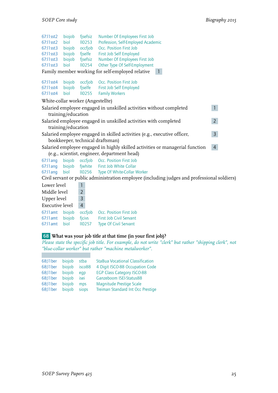| 67:1 sst2                         | biojob             | fjsefsiz            | Number Of Employees First Job                                                                |                |
|-----------------------------------|--------------------|---------------------|----------------------------------------------------------------------------------------------|----------------|
| $67:11$ sst2                      | biol               | II <sub>0</sub> 253 | Profession, Self-Employed Academic                                                           |                |
| 67:11 sst 3                       |                    | biojob occfjob      | Occ. Position First Job                                                                      |                |
| $67:11$ sst $3$                   | biojob             | fjselfe             | First Job Self Employed                                                                      |                |
| 67:11 sst 3                       | biojob             | fjsefsiz            | Number Of Employees First Job                                                                |                |
| 67:11 sst 3                       | biol               | II <sub>0254</sub>  | Other Type Of Self-Employment                                                                |                |
|                                   |                    |                     | Family member working for self-employed relative                                             |                |
| 67:11 sst4                        |                    |                     | biojob occfjob Occ. Position First Job                                                       |                |
| 67:11 sst4                        |                    |                     | biojob fjselfe First Job Self Employed                                                       |                |
| 67:11 sst 4                       | biol               | <b>II0255</b>       | <b>Family Workers</b>                                                                        |                |
| White-collar worker (Angestellte) |                    |                     |                                                                                              |                |
|                                   |                    |                     | Salaried employee engaged in unskilled activities without completed                          | $\mathbf{1}$   |
|                                   | training/education |                     |                                                                                              |                |
|                                   |                    |                     | Salaried employee engaged in unskilled activities with completed                             | $\overline{2}$ |
|                                   | training/education |                     |                                                                                              |                |
|                                   |                    |                     | Salaried employee engaged in skilled activities (e.g., executive officer,                    | 3 <sup>1</sup> |
|                                   |                    |                     | bookkeeper, technical draftsman)                                                             |                |
|                                   |                    |                     | Salaried employee engaged in highly skilled activities or managerial function                | $\overline{4}$ |
|                                   |                    |                     | (e.g., scientist, engineer, department head)                                                 |                |
| $67$ : 1 ang                      | biojob             |                     | occfjob Occ. Position First Job                                                              |                |
| 67:11 ang                         |                    |                     | biojob fjwhite First Job White Collar                                                        |                |
| $67:11$ ang                       | biol               |                     | IIO256 Type Of White-Collar Worker                                                           |                |
|                                   |                    |                     | Civil servant or public administration employee (including judges and professional soldiers) |                |

| Lower level                                               |                       |                                                                                    |
|-----------------------------------------------------------|-----------------------|------------------------------------------------------------------------------------|
| Middle level                                              | 2                     |                                                                                    |
| Upper level                                               | 3                     |                                                                                    |
| <b>Executive level</b>                                    | 4                     |                                                                                    |
| 67:11 amt biojob<br>67:l1amt biojob ficivs<br>$67:11$ amt | occfiob<br>biol 10257 | Occ. Position First Job<br>First Job Civil Servant<br><b>Type Of Civil Servant</b> |

# 68 **What was your job title at that time (in your first job)?**

*Please state the specific job title. For example, do not write "clerk" but rather "shipping clerk", not "blue-collar worker" but rather "machine metalworker".*

| 68;11 ber | biojob | stba   | <b>StaBua Vocational Classification</b> |
|-----------|--------|--------|-----------------------------------------|
| 68;11 ber | biojob | isco88 | 4 Digit ISCO-88 Occupation Code         |
| 68;11 ber | biojob | eap    | <b>EGP Class Category ISCO-88</b>       |
| 68;11 ber | biojob | isei   | Ganzeboom ISEI-Status88                 |
| 68;11 ber | biojob | mps    | Magnitude Prestige Scale                |
| 68;11 ber | biojob | siops  | Treiman Standard Int Occ Prestige       |

 $\mathcal{L}^{\text{max}}$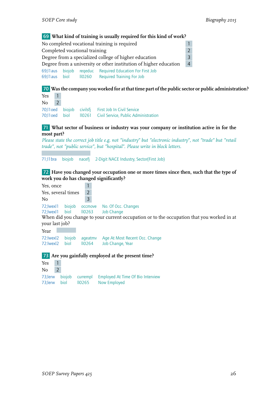69 **What kind of training is usually required for this kind of work?** No completed vocational training is required Completed vocational training 2 Degree from a specialized college of higher education 3 Degree from a university or other institution of higher education 4 69; I aus biojob reqeduc Required Education For First Job<br>69: I aus biol 10260 Required Training For Job Required Training For Job 70 **Was the company you worked for at that time part of the public sector or public administration?** Yes 1  $No$  2 70;l1oed biojob civilsfj First Job In Civil Service II0261 Civil Service, Public Administration 71 **What sector of business or industry was your company or institution active in for the most part?** *Please state the correct job title e.g. not "industry" but "electronic industry", not "trade" but "retail trade", not "public service", but "hospital". Please write in block letters.* 71;l1bra biojob nacefj 2-Digit NACE Industry, Sector(First Job) 72 **Have you changed your occupation one or more times since then, such that the type of work you do has changed significantly?** Yes, once 1 Yes, several times 2 No 3 72; Iwexl1 biojob occmove No. Of Occ. Changes<br>72; Iwexl1 biol IIO263 Job Change 72; lwexl1 biol When did you change to your current occupation or to the occupation that you worked in at your last job? Year 72:lwexl2 biojob ageatmv Age At Most Recent Occ. Change 72: Iwexl2 biol IIO264 Job Change, Year 73 **Are you gainfully employed at the present time?** Yes 1  $No$  2 73;lerw biojob currempl Employed At Time Of Bio Interview 73; lerw biol II0265 Now Employed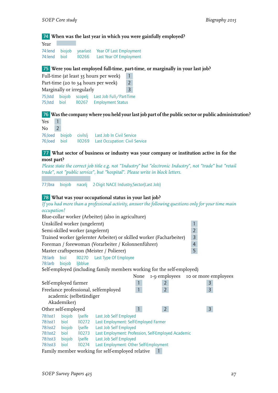## 74 **When was the last year in which you were gainfully employed?**

Year 74:lend biojob yearlast Year Of Last Employment 74: lend biol II0266 Last Year Of Employment

## 75 **Were you last employed full-time, part-time, or marginally in your last job?**

Full-time (at least 35 hours per week) 1 Part-time (20 to 34 hours per week) 2 Marginally or irregularly **3** 75;lstd biojob scopelj Last Job Full-/Part-Time 75; Istd biol II0267 Employment Status

## 76 **Was the company where you held your last job part of the public sector or public administration?**

| Yes 1  |  |                                                    |
|--------|--|----------------------------------------------------|
| $No$ 2 |  |                                                    |
|        |  | 76; loed biojob civilslj Last Job In Civil Service |
|        |  | 76; loed biol 10269 Last Occupation: Civil Service |

### 77 **What sector of business or industry was your company or institution active in for the most part?**

*Please state the correct job title e.g. not "Industry" but "electronic Industry", not "trade" but "retail trade", not "public service", but "hospital". Please write in block letters.*

77;lbra biojob nacelj 2-Digit NACE Industry,Sector(Last Job)

### 78 **What was your occupational status in your last job?**

*If you had more than a professional activity, answer the following questions only for your time main occupation!*

|                                 |                                   |                         | Blue-collar worker (Arbeiter) (also in agriculture)                    |      |                |                                    |  |  |
|---------------------------------|-----------------------------------|-------------------------|------------------------------------------------------------------------|------|----------------|------------------------------------|--|--|
|                                 | 1<br>Unskilled worker (ungelernt) |                         |                                                                        |      |                |                                    |  |  |
| Semi-skilled worker (angelernt) |                                   |                         |                                                                        |      |                | $\overline{2}$                     |  |  |
|                                 |                                   |                         | Trained worker (gelernter Arbeiter) or skilled worker (Facharbeiter)   |      |                | $\mathsf{3}$                       |  |  |
|                                 |                                   |                         | Foreman / forewoman (Vorarbeiter / Kolonnenführer)                     |      |                | $\overline{4}$                     |  |  |
|                                 |                                   |                         | Master craftsperson (Meister / Polierer)                               |      |                | 5                                  |  |  |
| 78:larb                         | biol                              |                         | II0270 Last Type Of Employee                                           |      |                |                                    |  |  |
| 78:larb                         | biojob                            | ljbblue                 |                                                                        |      |                |                                    |  |  |
|                                 |                                   |                         | Self-employed (including family members working for the self-employed) |      |                |                                    |  |  |
|                                 |                                   |                         |                                                                        | None |                | 1-9 employees 10 or more employees |  |  |
| Self-employed farmer            |                                   |                         |                                                                        |      | $\overline{2}$ |                                    |  |  |
|                                 |                                   |                         | Freelance professional, selfemployed                                   |      | $\overline{2}$ | $\frac{3}{3}$                      |  |  |
|                                 |                                   | academic (selbständiger |                                                                        |      |                |                                    |  |  |
|                                 | Akademiker)                       |                         |                                                                        |      |                |                                    |  |  |
| Other self-employed             |                                   |                         |                                                                        |      | $2^{\circ}$    | 3                                  |  |  |
| 78: Isst 1                      | biojob                            | ljselfe                 | Last Job Self Employed                                                 |      |                |                                    |  |  |
| 78: Isst 1                      | biol                              |                         | IIO272 Last Employment: Self-Employed Farmer                           |      |                |                                    |  |  |
| 78: Isst2                       | biojob                            | ljselfe                 | Last Job Self Employed                                                 |      |                |                                    |  |  |
| 78: Isst2                       | biol                              | IIO273                  | Last Employment: Profession, Self-Employed Academic                    |      |                |                                    |  |  |
| 78: Isst 3                      | biojob                            | ljselfe                 | Last Job Self Employed                                                 |      |                |                                    |  |  |
| 78: Isst 3                      | biol                              | II <sub>0274</sub>      | Last Employment: Other Self-Employment                                 |      |                |                                    |  |  |
|                                 |                                   |                         | Family member working for self-employed relative                       |      |                |                                    |  |  |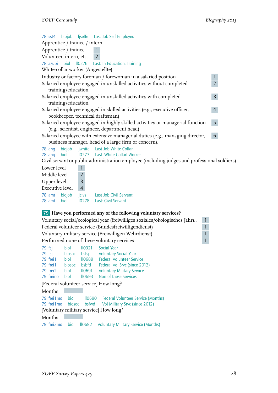| 78: Isst4 biojob ljselfe Last Job Self Employed                                                                                     |                |
|-------------------------------------------------------------------------------------------------------------------------------------|----------------|
| Apprentice / trainee / intern                                                                                                       |                |
| Apprentice / trainee                                                                                                                |                |
| Volunteer, intern, etc. 2                                                                                                           |                |
| 78:lazubi biol II0276 Last: In Education, Training                                                                                  |                |
| White-collar worker (Angestellte)                                                                                                   |                |
| Industry or factory foreman / forewoman in a salaried position                                                                      | $\mathbf{1}$   |
| Salaried employee engaged in unskilled activities without completed<br>training/education                                           | $2^{\circ}$    |
| Salaried employee engaged in unskilled activities with completed<br>training/education                                              | 3 <sup>7</sup> |
| Salaried employee engaged in skilled activities (e.g., executive officer,<br>bookkeeper, technical draftsman)                       | $\overline{4}$ |
| Salaried employee engaged in highly skilled activities or managerial function<br>(e.g., scientist, engineer, department head)       | 5 <sub>1</sub> |
| Salaried employee with extensive managerial duties (e.g., managing director,<br>business manager, head of a large firm or concern). | 6              |
| biojob ljwhite Last Job White Collar<br>78:lang                                                                                     |                |
| II0277 Last: White Collarl Worker<br>78:lang<br>biol                                                                                |                |
| Civil servant or public administration employee (including judges and professional soldiers)                                        |                |
| Lower level                                                                                                                         |                |
| Middle level<br>$\overline{2}$                                                                                                      |                |
| $\overline{3}$<br>Upper level                                                                                                       |                |
|                                                                                                                                     |                |

| Executive level 4 |  |                                                                                         |
|-------------------|--|-----------------------------------------------------------------------------------------|
|                   |  | 78: lamt biojob ljcivs Last Job Civil Servant<br>78: amt biol 10278 Last: Civil Servant |

## 79 **Have you performed any of the following voluntary services?**

| Voluntary social/ecological year (freiwilliges soziales/ökologisches Jahr) |  |
|----------------------------------------------------------------------------|--|
| Federal volunteer service (Bundesfreiwilligendienst)                       |  |
| Voluntary military service (Freiwilligen Wehrdienst)                       |  |
| Performed none of these voluntary services                                 |  |

| 79:lfsj     | biol   | II <sub>0321</sub> | Social Year                       |
|-------------|--------|--------------------|-----------------------------------|
| 79:lfsj     | biosoc | bsfsi              | <b>Voluntary Social Year</b>      |
| 79: Ifrei 1 | biol   | <b>II0689</b>      | <b>Federal Volunteer Service</b>  |
| 79: Ifrei 1 | biosoc | <b>b</b> sbfd      | Federal Vol Srvc (since 2012)     |
| 79: Ifrei 2 | biol   | $II$ 0691          | <b>Voluntary Military Service</b> |
| 79: Ifreino | hiol   | II <sub>0693</sub> | Non of these Services             |
|             |        |                    |                                   |

[Federal volunteer service] How long?

| Months              |  |                                                                |
|---------------------|--|----------------------------------------------------------------|
| 79: Ifrei 1 mo biol |  | IIO690 Federal Volunteer Service (Months)                      |
|                     |  | 79: Ifrei 1 mo biosoc bsfwd Vol Military Srvc (since 2012)     |
|                     |  | [Voluntary military service] How long?                         |
| Months              |  |                                                                |
|                     |  | 79: Ifrei 2 mo biol IIO692 Voluntary Military Service (Months) |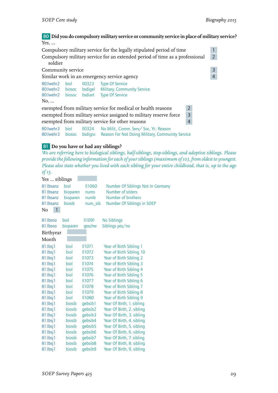## 80 **Did you do compulsory military service or community service in place of military service?** Yes, ...

| Compulsory military service for the legally stipulated period of time                   |                |                               |                                                                                                   |                |                |
|-----------------------------------------------------------------------------------------|----------------|-------------------------------|---------------------------------------------------------------------------------------------------|----------------|----------------|
| Compulsory military service for an extended period of time as a professional<br>soldier |                |                               |                                                                                                   |                |                |
| Community service                                                                       |                |                               |                                                                                                   |                | 3              |
|                                                                                         |                |                               | Similar work in an emergency service agency                                                       |                | $\overline{4}$ |
| 80: Iwehr2<br>80: Iwehr 2 biosoc bsdige<br>80: lwehr2 biosoc<br>No,                     | biol           | II <sub>0323</sub><br>bsdiart | <b>Type Of Service</b><br><b>Military, Community Service</b><br><b>Type Of Service</b>            |                |                |
|                                                                                         |                |                               | exempted from military service for medical or health reasons                                      | $\overline{2}$ |                |
|                                                                                         |                |                               | exempted from military service assigned to military reserve force                                 | $\overline{3}$ |                |
| $\overline{4}$<br>exempted from military service for other reasons                      |                |                               |                                                                                                   |                |                |
| 80: Iwehr3<br>80: wehr 3                                                                | biol<br>biosoc | bsdigru                       | IIO324 No Milit., Comm. Serv/Soc. Yr.: Reason<br>Reason For Not Doing Military, Community Service |                |                |

# 81 **Do you have or had any siblings?**

*We are referring here to biological siblings, half-siblings, step-siblings, and adoptive siblings. Please provide the following information for each of your siblings (maximum of 10), from oldest to youngest. Please also state whether you lived with each sibling for your entire childhood, that is, up to the age of 15.*

| Yes  siblings  |          |                     |                                   |
|----------------|----------|---------------------|-----------------------------------|
| 81: Ibsanz     | hiol     | <b>II1060</b>       | Number Of Siblings Not In Germany |
| 81: Ibsanz     | bioparen | nums                | Number of sisters                 |
| 81:lbsanz      | bioparen | numb                | Number of brothers                |
| 81:lbsanz      | biosib   | num_sib             | Number Of Siblings in SOEP        |
| 1<br>No        |          |                     |                                   |
| 81: Ibsno      | biol     | 11091               | <b>No Siblings</b>                |
| 81: Ibsno      | bioparen | qeschw              | Siblings yes/no                   |
| Birthyear      |          |                     |                                   |
| Month          |          |                     |                                   |
| $81:1$ bsj $1$ | biol     | <b>II1071</b>       | Year of Birth Sibling 1           |
| $81:$ lbsj $1$ | biol     | <b>II1072</b>       | Year of Birth Sibling 10          |
| $81:1$ bsj $1$ | biol     | II1073              | Year of Birth Sibling 2           |
| $81:1$ bsj $1$ | biol     | 11074               | Year of Birth Sibling 3           |
| $81:$ Ibsj $1$ | biol     | II1075              | Year of Birth Sibling 4           |
| $81:1$ bsj $1$ | biol     | <b>II1076</b>       | Year of Birth Sibling 5           |
| $81:$ lbsj $1$ | biol     | <b>II1077</b>       | Year of Birth Sibling 6           |
| $81:$ lbsj $1$ | biol     | <b>II1078</b>       | Year of Birth Sibling 7           |
| $81:1$ bsj $1$ | biol     | II1079              | Year of Birth Sibling 8           |
| $81:1$ bsj $1$ | biol     | <b>II1080</b>       | Year of Birth Sibling 9           |
| $81:$ lbsj $1$ | biosib   | gebsib1             | Year Of Birth, 1. sibling         |
| $81:$ lbsj $1$ | biosib   | gebsib2             | Year Of Birth, 2. sibling         |
| $81:1$ bsj $1$ | biosib   | qebsib3             | Year Of Birth, 3. sibling         |
| $81:1$ bsj $1$ | biosib   | qebsib4             | Year Of Birth, 4. sibling         |
| $81:1$ bsj $1$ | biosib   | qebsib5             | Year Of Birth, 5. sibling         |
| $81:$ lbsj $1$ | biosib   | gebsib <sub>6</sub> | Year Of Birth, 6. sibling         |
| $81:$ lbsj $1$ | biosib   | gebsib7             | Year Of Birth, 7. sibling         |
| $81:$ lbsj $1$ | biosib   | qebsib <sub>8</sub> | Year Of Birth, 8. sibling         |
| $81:$ lbsj $1$ | biosib   | qebsib9             | Year Of Birth, 9. sibling         |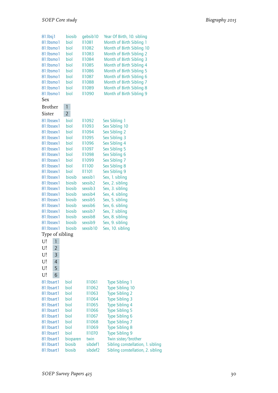| 81:lbsj1             | biosib         | gebsib10            | Year Of Birth, 10. sibling        |
|----------------------|----------------|---------------------|-----------------------------------|
| 81:lbsmo1            | biol           | <b>II1081</b>       | Month of Birth Sibling 1          |
| 81:lbsmo1            | biol           | II1082              | Month of Birth Sibling 10         |
| 81:lbsmo1            | biol           | II1083              | Month of Birth Sibling 2          |
| 81:lbsmo1            | biol           | II1084              | Month of Birth Sibling 3          |
| 81:lbsmo1            | biol           | <b>II1085</b>       | Month of Birth Sibling 4          |
| 81:lbsmo1            | biol           | <b>II1086</b>       | Month of Birth Sibling 5          |
| 81:lbsmo1            | biol           | <b>II1087</b>       | Month of Birth Sibling 6          |
| 81:lbsmo1            | biol           | II1088              | Month of Birth Sibling 7          |
| 81:lbsmo1            | biol           | <b>II1089</b>       | Month of Birth Sibling 8          |
| 81:lbsmo1            | biol           | II1090              | Month of Birth Sibling 9          |
| Sex                  |                |                     |                                   |
| <b>Brother</b>       | 1              |                     |                                   |
| Sister               | $\overline{2}$ |                     |                                   |
| 81:lbssex1           | biol           | II1092              | Sex Sibling 1                     |
| 81:lbssex1           | biol           | II1093              | Sex Sibling 10                    |
| 81:lbssex1           | biol           | <b>II1094</b>       | Sex Sibling 2                     |
| 81:lbssex1           | biol           | II1095              | Sex Sibling 3                     |
| 81:lbssex1           | biol           | <b>II1096</b>       | Sex Sibling 4                     |
| 81:lbssex1           | biol           | <b>II1097</b>       | Sex Sibling 5                     |
| 81:lbssex1           | biol           | II1098              | Sex Sibling 6                     |
| 81:lbssex1           | biol           | II1099              | Sex Sibling 7                     |
| 81:lbssex1           | biol           | II1100              | Sex Sibling 8                     |
| 81:lbssex1           | biol           | <b>II1101</b>       | Sex Sibling 9                     |
| 81:lbssex1           | biosib         | sexsib1             | Sex, 1. sibling                   |
| 81:lbssex1           | biosib         | sexsib2             | Sex, 2. sibling                   |
| 81:lbssex1           | biosib         | sexsib3             | Sex, 3. sibling                   |
| 81:lbssex1           | biosib         | sexsib4             | Sex, 4. sibling                   |
| 81:lbssex1           | biosib         | sexsib5             | Sex, 5. sibling                   |
| 81:lbssex1           | biosib         | sexsib <sub>6</sub> | Sex, 6. sibling                   |
| 81:lbssex1           | biosib         | sexsib7             | Sex, 7. sibling                   |
| 81:lbssex1           | biosib         | sexsib <sub>8</sub> | Sex, 8. sibling                   |
| 81:lbssex1           | biosib         | sexsib9             | Sex, 9. sibling                   |
| 81:lbssex1           | biosib         | sexsib10            | Sex, 10. sibling                  |
| Type of sibling      |                |                     |                                   |
| U!<br>1              |                |                     |                                   |
| U!<br>2              |                |                     |                                   |
| U!<br>3              |                |                     |                                   |
| U!<br>$\overline{4}$ |                |                     |                                   |
|                      |                |                     |                                   |
| 5<br>U!              |                |                     |                                   |
| U!<br>6              |                |                     |                                   |
| 81:lbsart1           | biol           | <b>II1061</b>       | <b>Type Sibling 1</b>             |
| 81:lbsart1           | biol           | <b>II1062</b>       | Type Sibling 10                   |
| 81:lbsart1           | biol           | <b>II1063</b>       | <b>Type Sibling 2</b>             |
| 81:lbsart1           | biol           | <b>II1064</b>       | <b>Type Sibling 3</b>             |
| 81:lbsart1           | biol           | <b>II1065</b>       | <b>Type Sibling 4</b>             |
| 81:lbsart1           | biol           | <b>II1066</b>       | <b>Type Sibling 5</b>             |
| 81:lbsart1           | biol           | <b>II1067</b>       | Type Sibling 6                    |
| 81:lbsart1           | biol           | <b>II1068</b>       | <b>Type Sibling 7</b>             |
| 81:lbsart1           | biol           | <b>II1069</b>       | <b>Type Sibling 8</b>             |
| 81:lbsart1           | biol           | <b>II1070</b>       | <b>Type Sibling 9</b>             |
| 81:lbsart1           | bioparen       | twin                | Twin sister/brother               |
| 81:lbsart1           | biosib         | sibdef1             | Sibling constellation, 1. sibling |
| 81:lbsart1           | biosib         | sibdef2             | Sibling constellation, 2. sibling |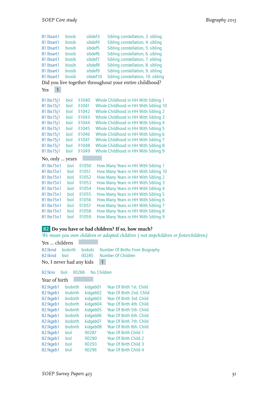| 81:lbsart1                                              | biosib       | sibdef3       |          |  |  | Sibling constellation, 3. sibling                                             |  |
|---------------------------------------------------------|--------------|---------------|----------|--|--|-------------------------------------------------------------------------------|--|
| 81:lbsart1                                              | biosib       | sibdef4       |          |  |  | Sibling constellation, 4. sibling                                             |  |
| 81:lbsart1                                              | biosib       | sibdef5       |          |  |  | Sibling constellation, 5. sibling                                             |  |
| 81:lbsart1                                              | biosib       | sibdef6       |          |  |  | Sibling constellation, 6. sibling                                             |  |
| 81:lbsart1                                              | biosib       | sibdef7       |          |  |  | Sibling constellation, 7. sibling                                             |  |
| 81:lbsart1                                              | biosib       | sibdef8       |          |  |  | Sibling constellation, 8. sibling                                             |  |
| 81:lbsart1                                              | biosib       | sibdef9       |          |  |  | Sibling constellation, 9. sibling                                             |  |
| 81:lbsart1                                              | biosib       |               | sibdef10 |  |  | Sibling constellation, 10. sibling                                            |  |
| Did you live together throughout your entire childhood? |              |               |          |  |  |                                                                               |  |
| 1<br>Yes                                                |              |               |          |  |  |                                                                               |  |
|                                                         | biol         | <b>II1040</b> |          |  |  |                                                                               |  |
| 81:lbs15j1<br>81:lbs15j1                                | biol         | <b>II1041</b> |          |  |  | Whole Childhood in HH With Sibling 1<br>Whole Childhood in HH With Sibling 10 |  |
| 81:lbs15j1                                              |              | <b>II1042</b> |          |  |  | Whole Childhood in HH With Sibling 2                                          |  |
| 81:lbs15j1                                              | biol<br>biol | <b>II1043</b> |          |  |  | Whole Childhood in HH With Sibling 3                                          |  |
|                                                         | biol         | <b>II1044</b> |          |  |  | Whole Childhood in HH With Sibling 4                                          |  |
| 81:lbs15j1<br>81:lbs15j1                                | biol         | <b>II1045</b> |          |  |  | Whole Childhood in HH With Sibling 5                                          |  |
| 81:lbs15j1                                              | biol         | <b>II1046</b> |          |  |  | Whole Childhood in HH With Sibling 6                                          |  |
| 81:lbs15j1                                              | biol         | <b>II1047</b> |          |  |  | Whole Childhood in HH With Sibling 7                                          |  |
| 81:lbs15j1                                              | biol         | <b>II1048</b> |          |  |  | Whole Childhood in HH With Sibling 8                                          |  |
| 81:lbs15j1                                              | biol         | <b>II1049</b> |          |  |  | Whole Childhood in HH With Sibling 9                                          |  |
|                                                         |              |               |          |  |  |                                                                               |  |
| No, only                                                | years        |               |          |  |  |                                                                               |  |
| 81:lbs15n1                                              | hiol         | <b>II1050</b> |          |  |  | How Many Years in HH With Sibling 1                                           |  |
| 81:lbs15n1                                              | biol         | <b>II1051</b> |          |  |  | How Many Years in HH With Sibling 10                                          |  |
| 81:lbs15n1                                              | biol         | <b>II1052</b> |          |  |  | How Many Years in HH With Sibling 2                                           |  |
| 81:lbs15n1                                              | biol         | <b>II1053</b> |          |  |  | How Many Years in HH With Sibling 3                                           |  |
| 81:lbs15n1                                              | biol         | <b>II1054</b> |          |  |  | How Many Years in HH With Sibling 4                                           |  |
| 81:lbs15n1                                              | biol         | <b>II1055</b> |          |  |  | How Many Years in HH With Sibling 5                                           |  |
| 81:lbs15n1                                              | biol         | <b>II1056</b> |          |  |  | How Many Years in HH With Sibling 6                                           |  |
| 81:lbs15n1                                              | biol         | <b>II1057</b> |          |  |  | How Many Years in HH With Sibling 7                                           |  |
| 81:lbs15n1                                              | biol         | <b>II1058</b> |          |  |  | How Many Years in HH With Sibling 8                                           |  |
| 81:lbs15n1                                              | biol         | <b>II1059</b> |          |  |  | How Many Years in HH With Sibling 9                                           |  |

## 82 **Do you have or had children? If so, how much?**

*We mean you own children or adopted children ( not stepchildren or fosterchildren)*

| Yes  children              |  |  |                                                                                                       |  |
|----------------------------|--|--|-------------------------------------------------------------------------------------------------------|--|
|                            |  |  | 82: Ikind biobirth biokids Number Of Births From Biography<br>82: Ikind biol 10285 Number Of Children |  |
| No, I never had any kids 1 |  |  |                                                                                                       |  |

82:lkno biol ll0286 No Children

| Year of birth |          |               |                          |
|---------------|----------|---------------|--------------------------|
| 82:lkgeb1     | biobirth | kidgeb01      | Year Of Birth 1st. Child |
| 82:lkgeb1     | biobirth | kidgeb02      | Year Of Birth 2nd, Child |
| 82:lkgeb1     | biobirth | kidgeb03      | Year Of Birth 3rd, Child |
| 82:lkgeb1     | biobirth | kidgeb04      | Year Of Birth 4th, Child |
| 82:lkgeb1     | biobirth | kidgeb05      | Year Of Birth 5th. Child |
| 82:lkgeb1     | biobirth | kidgeb06      | Year Of Birth 6th, Child |
| 82:lkgeb1     | biobirth | kidgeb07      | Year Of Birth 7th, Child |
| 82:lkgeb1     | biobirth | kidgeb08      | Year Of Birth 8th, Child |
| 82:lkgeb1     | biol     | <b>II0287</b> | Year Of Birth Child 1    |
| 82:lkgeb1     | biol     | <b>II0290</b> | Year Of Birth Child 2    |
| 82:lkgeb1     | biol     | 110293        | Year Of Birth Child 3    |
| 82:lkgeb1     | hiol     | <b>II0296</b> | Year Of Birth Child 4    |
|               |          |               |                          |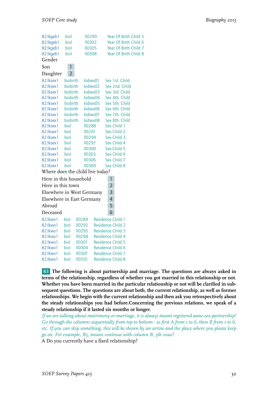| 82:lkgeb1                        | biol           | <b>II0299</b> |                          |                | Year Of Birth Child 5 |  |
|----------------------------------|----------------|---------------|--------------------------|----------------|-----------------------|--|
| 82:lkgeb1                        | biol           | <b>II0302</b> |                          |                | Year Of Birth Child 6 |  |
| 82:lkgeb1                        | biol           | <b>II0305</b> |                          |                | Year Of Birth Child 7 |  |
| 82:lkgeb1                        | biol           | <b>II0308</b> |                          |                | Year Of Birth Child 8 |  |
| Gender                           |                |               |                          |                |                       |  |
| Son                              | $\overline{1}$ |               |                          |                |                       |  |
| Daughter                         | $\overline{2}$ |               |                          |                |                       |  |
| 82:lksex1                        | biobirth       | kidsex01      |                          |                | Sex 1st. Child        |  |
| 82:lksex1                        | biobirth       | kidsex02      |                          |                | Sex 2nd. Child        |  |
| 82:lksex1                        | biobirth       | kidsex03      |                          |                | Sex 3rd. Child        |  |
| 82:lksex1                        | biobirth       | kidsex04      |                          |                | Sex 4th. Child        |  |
| 82:lksex1                        | biobirth       | kidsex05      |                          |                | Sex 5th. Child        |  |
| 82:lksex1                        | biobirth       | kidsex06      |                          |                | Sex 6th. Child        |  |
| 82:lksex1                        | biobirth       | kidsex07      |                          |                | Sex 7th. Child        |  |
| 82:lksex1                        | biobirth       | kidsex08      |                          |                | Sex 8th. Child        |  |
| 82:lksex1                        | biol           | <b>II0288</b> |                          |                | Sex Child 1           |  |
| 82:lksex1                        | biol           | <b>II0291</b> |                          |                | Sex Child 2           |  |
| 82:lksex1                        | biol           | <b>II0294</b> |                          |                | Sex Child 3           |  |
| 82:lksex1                        | biol           | <b>II0297</b> |                          |                | Sex Child 4           |  |
| 82:lksex1                        | biol           | <b>II0300</b> |                          |                | Sex Child 5           |  |
| 82:lksex1                        | biol           | <b>II0303</b> |                          |                | Sex Child 6           |  |
| 82:lksex1                        | biol           | <b>II0306</b> |                          |                | Sex Child 7           |  |
| 82:lksex1                        | biol           | <b>II0309</b> |                          |                | Sex Child 8           |  |
| Where does the child live today? |                |               |                          |                |                       |  |
| Here in this household           |                |               |                          | 1              |                       |  |
| Here in this town                |                |               |                          | $\overline{2}$ |                       |  |
| Elsewhere in West Germany        |                |               |                          | 3              |                       |  |
| Elsewhere in East Germany        |                |               |                          | $\overline{4}$ |                       |  |
| Abroad                           |                |               |                          | 5              |                       |  |
| Deceased                         |                |               |                          | 6              |                       |  |
| 82:lkwo1                         | biol           | <b>II0289</b> | Residence Child 1        |                |                       |  |
| 82: kwo 1                        | biol           | <b>II0292</b> | Residence Child 2        |                |                       |  |
| 82: kwo 1                        | biol           | <b>II0295</b> | <b>Residence Child 3</b> |                |                       |  |
| 82:lkwo1                         | biol           | <b>II0298</b> | Residence Child 4        |                |                       |  |
| 82: kwo 1                        | biol           | <b>II0301</b> | <b>Residence Child 5</b> |                |                       |  |
| 82: kwo 1                        | biol           | <b>II0304</b> | Residence Child 6        |                |                       |  |
| 82: kwo 1                        | biol           | <b>II0307</b> | <b>Residence Child 7</b> |                |                       |  |
| 82: kwo 1                        | biol           | 110310        | <b>Residence Child 8</b> |                |                       |  |

83 **The following is about partnership and marriage. The questions are always asked in terms of the relationship, regardless of whether you got married in this relationship or not. Whether you have been married in the particular relationship or not will be clarified in subsequent questions. The questions are about both, the current relationship, as well as former relationships. We begin with the current relationship and then ask you retrospectively about the steady relationships you had before.Concerning the previous relations, we speak of a steady relationship if it lasted six months or longer.**

*If we are talking about matrimony or marriage, it is always meant registered same-sex partnership! Go through the columns sequentially from top to bottom - so first A from 1 to 6, then B from 1 to 6, etc. If you can skip something, this will be shown by an arrow and the place where you please keep go on. For example, B5, means continue with column B, 5th issue!*

A Do you currently have a fixed relationship?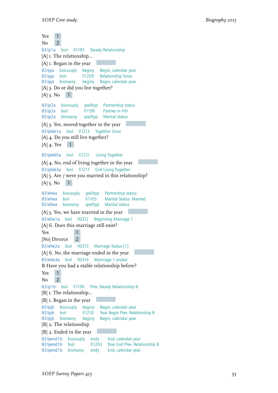Yes 1 No 2 83:lp1a biol ll1195 Steady Relationship [A]  $I$ . The relationship... [A] 1. Began in the year 83:lpja biocouply beginy Begin, calendar year 83:lpia biol 11209 Relationship Since 83:lpja biomarsy beginy Begin, calendar year [A] 3. Do or did you live together?  $[A]$  3. No  $[1]$ 83:lp2a biocouply spelltyp Partnership status biol ll1199 Partner in HH 83:lp2a biomarsy spelltyp Marital status [A] 3. Yes, moved together in the year 83:lpleb1a biol ll1213 Together Since [A] 4. Do you still live together?  $[A]$  4. Yes 1 83:lpleb5a biol ll1221 Living Together [A] 4. No, end of living together in the year 83:lpleb3a biol ll1217 End Living Together [A] 5. Are / were you married in this relationship?  $[A]$  5. No  $[1]$ 83:lehea biocouply spelltyp Partnership status 83: lehea biol ll1105 Marital Status: Married<br>83: lehea biomarsy spelltyp Marital status 83:lehea biomarsy spelltyp Marital status [A] 5. Yes, we have married in the year 83:lehe1a biol ll0312 Beginning Marriage 1 [A] 6. Does this marriage still exist? Yes 1 [No] Divorce 2 83:lehe2a biol ll0313 Marriage Status (1) [A] 6. No, the marriage ended in the year 83:lehe3a biol ll0314 Marrriage 1 ended B Have you had a stable relationship before? Yes 1  $No$  2 83:lp1b biol ll1196 Prev. Steady Relationship B [B]  $I$ . The relationship... [B]  $I.$  Began in the year 83:lpjb biocouply beginy Begin, calendar year 83:lpjb biol ll1210 Year Begin Prev. Relationship B 83:lpjb biomarsy beginy Begin, calendar year [B] 2. The relationship [B] 2. Ended in the year 83:lpend1b biocouply endy End, calendar year 83:lpend1b biol ll1203 Year End Prev. Relationship B 83:lpend1b biomarsy endy End, calendar year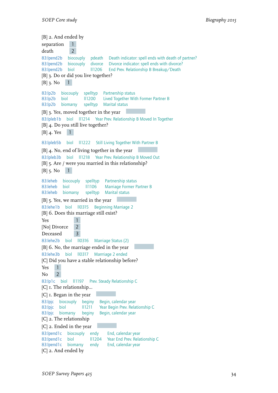[B] 2. And ended by separation 1 death 2 83:lpend2b biocouply pdeath Death indicator: spell ends with death of partner?<br>83:lpend2b biocouply divorce Divorce indicator: spell ends with divorce? divorce Divorce indicator: spell ends with divorce? 83:lpend2b biol ll1206 End Prev. Relationship B Breakup/Death [B] 3. Do or did you live together?  $[B]$  3. No  $[1]$ 83:lp2b biocouply spelltyp Partnership status 83:lp2b biol ll1200 Lived Together With Former Partner B 83:lp2b biomarsy spelltyp Marital status [B] 3. Yes, moved together in the year 83:lpleb1b biol ll1214 Year Prev. Relationship B Moved In Together [B]  $4.$  Do you still live together?  $[B]$  4. Yes 1 83:lpleb5b biol ll1222 Still Living Together With Partner B [B] 4. No, end of living together in the year 83:lpleb3b biol ll1218 Year Prev. Relationship B Moved Out [B] 5. Are / were you married in this relationship?  $[B]$  5. No  $[1]$ 83:leheb biocouply spelltyp Partnership status biol ll1106 Marriage Former Partner B 83:leheb biomarsy spelltyp Marital status [B] 5. Yes, we married in the year 83:lehe1b biol ll0315 Beginning Marriage 2 [B] 6. Does this marriage still exist? Yes 1 [No] Divorce 2 Deceased 3 83:lehe2b biol ll0316 Marriage Status (2) [B] 6. No, the marriage ended in the year 83:lehe3b biol ll0317 Marrriage 2 ended [C] Did you have a stable relationship before? Yes 1  $No$  2 83:lp1c biol ll1197 Prev. Steady Relationship C [C] I. The relationship... [C] 1. Began in the year 83:lpic biocouply beginy Begin, calendar year 83:lpjc biol II1211 Year Begin Prev. Relationship C 83:lpjc biomarsy beginy Begin, calendar year [C] 2. The relationship [C] 2. Ended in the year 83:lpend1c biocouply endy End, calendar year 83:lpend1c biol ll1204 Year End Prev. Relationship C<br>83:lpend1c biomarsy endy End, calendar year 83:lpend1c biomarsy [C] 2. And ended by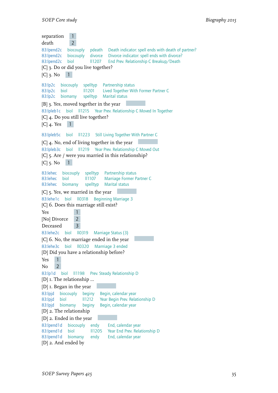separation 1 death 2 83:lpend2c biocouply pdeath Death indicator: spell ends with death of partner? 83:lpend2c biocouply divorce Divorce indicator: spell ends with divorce? 83:lpend2c biol ll1207 End Prev. Relationship C Breakup/Death [C] 3. Do or did you live together?  $[C]$  3. No  $[1]$ 83:lp2c biocouply spelltyp Partnership status 83:lp2c biol ll1201 Lived Together With Former Partner C 83:lp2c biomarsy spelltyp Marital status [B] 3. Yes, moved together in the year 83:lpleb1c biol ll1215 Year Prev. Relationship C Moved In Together [C] 4. Do you still live together?  $[C]$  4. Yes 1 83:lpleb5c biol ll1223 Still Living Together With Partner C [C] 4. No, end of living together in the year 83:lpleb3c biol ll1219 Year Prev. Relationship C Moved Out [C] 5. Are / were you married in this relationship?  $[C]$  5. No  $[1]$ 83:lehec biocouply spelltyp Partnership status 83: lehec biol ll1107 Marriage Former Partner C 83:lehec biomarsy spelltyp Marital status [C] 5. Yes, we married in the year 83:lehe1c biol ll0318 Beginning Marriage 3 [C] 6. Does this marriage still exist? Yes 1 [No] Divorce 2 Deceased 3 83:lehe2c biol ll0319 Marriage Status (3) [C] 6. No, the marriage ended in the year 83:lehe3c biol ll0320 Marrriage 3 ended [D] Did you have a relationship before? Yes 1  $No$  2 83:lp1d biol ll1198 Prev. Steady Relationship D [D]  $I$ . The relationship ... [D] 1. Began in the year 83:lpjd biocouply beginy Begin, calendar year Year Begin Prev. Relationship D 83:lpjd biomarsy beginy Begin, calendar year [D] 2. The relationship [D] 2. Ended in the year 83:lpend1d biocouply endy End, calendar year<br>83:lpend1d biol 11205 Year End Prev. Relat Il1205 Year End Prev. Relationship D 83:lpend1d biomarsy endy End, calendar year [D] 2. And ended by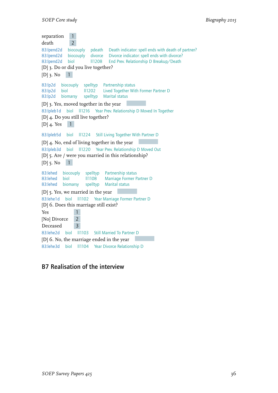```
separation 1
death 2
83:lpend2d biocouply pdeath Death indicator: spell ends with death of partner?
83:lpend2d biocouply divorce Divorce indicator: spell ends with divorce?
83:lpend2d biol ll1208 End Prev. Relationship D Breakup/Death
[D] 3. Do or did you live together?
[D] 3. No [1]83:lp2d biocouply spelltyp Partnership status
83:lp2d biol ll1202 Lived Together With Former Partner D
83:lp2d biomarsy spelltyp Marital status
[D] 3. Yes, moved together in the year
83:lpleb1d biol ll1216 Year Prev. Relationship D Moved In Together
[D] 4. Do you still live together?
[D] 4. Yes 1
83:lpleb5d biol ll1224 Still Living Together With Partner D
[D] 4. No, end of living together in the year
83:lpleb3d biol ll1220 Year Prev. Relationship D Moved Out
[D] 5. Are / were you married in this relationship?
[D] 5. No [1]83:lehed biocouply spelltyp Partnership status
83:lehed biol ll1108 Marriage Former Partner D
83:lehed biomarsy spelltyp Marital status
[D] 5. Yes, we married in the year
83:lehe1d biol ll1102 Year Marriage Former Partner D
[D] 6. Does this marriage still exist?
Yes 1
[No] Divorce 2
Deceased 3
83:lehe2d biol ll1103 Still Married To Partner D
[D] 6. No, the marriage ended in the year
83:lehe3d biol ll1104 Year Divorce Relationship D
```
## B7 Realisation of the interview